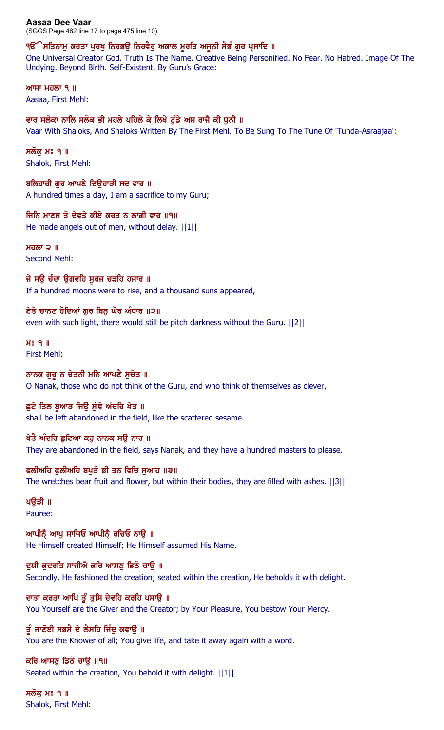**Aasaa Dee Vaar**  (SGGS Page 462 line 17 to page 475 line 10).

## ੧ੳੱੇ ਸਤਿਨਾਮੁ ਕਰਤਾ ਪੁਰਖੁ ਨਿਰਭਉ ਨਿਰਵੈਰੁ ਅਕਾਲ ਮੁਰਤਿ ਅਜੁਨੀ ਸੈਭੰ ਗੁਰ ਪ੍ਰਸਾਦਿ ॥

One Universal Creator God. Truth Is The Name. Creative Being Personified. No Fear. No Hatred. Image Of The Undying. Beyond Birth. Self-Existent. By Guru's Grace:

 $MT$   $H$  $\overline{O}$   $\overline{O}$   $\overline{O}$   $\overline{O}$   $\overline{O}$   $\overline{O}$   $\overline{O}$   $\overline{O}$   $\overline{O}$   $\overline{O}$   $\overline{O}$   $\overline{O}$   $\overline{O}$   $\overline{O}$   $\overline{O}$   $\overline{O}$   $\overline{O}$   $\overline{O}$   $\overline{O}$   $\overline{O}$   $\overline{O}$   $\overline{O}$   $\overline{O}$   $\overline{O}$ Aasaa, First Mehl:

### ਵਾਰ ਸਲੋਕਾ ਨਾਲਿ ਸਲੋਕ ਭੀ ਮਹਲੇ ਪਹਿਲੇ ਕੇ ਲਿਖੇ ਟੁੰਡੇ ਅਸ ਰਾਜੈ ਕੀ ਧੁਨੀ ॥ Vaar With Shaloks, And Shaloks Written By The First Mehl. To Be Sung To The Tune Of 'Tunda-Asraajaa':

ਸਲੋਕ ਮਃ ੧ ॥ Shalok, First Mehl:

ਬਲਿਹਾਰੀ ਗਰ ਆਪਣੇ ਦਿੳਹਾੜੀ ਸਦ ਵਾਰ ॥ A hundred times a day, I am a sacrifice to my Guru;

ਜਿਨਿ ਮਾਣਸ ਤੇ ਦੇਵਤੇ ਕੀਏ ਕਰਤ ਨ ਲਾਗੀ ਵਾਰ ॥੧॥ He made angels out of men, without delay. ||1||

ਮਹਲਾ ੨ $\parallel$ Second Mehl:

ਜੇ ਸੳ ਚੰਦਾ ੳਗਵਹਿ ਸਰਜ ਚੜਹਿ ਹਜਾਰ ॥ If a hundred moons were to rise, and a thousand suns appeared,

ਏਤੇ ਚਾਨਣ ਹੋਦਿਆਂ ਗੁਰ ਬਿਨੂ ਘੋਰ ਅੰਧਾਰ ॥੨॥ even with such light, there would still be pitch darkness without the Guru. ||2||

 $H<sup>o</sup>$   $9$   $\parallel$ First Mehl:

ਨਾਨਕ ਗੁਰੂ ਨ ਚੇਤਨੀ ਮਨਿ ਆਪਣੈ ਸੁਚੇਤ ॥ O Nanak, those who do not think of the Guru, and who think of themselves as clever,

ਛੂਟੇ ਤਿਲ ਬੁਆੜ ਜਿਉ ਸੁੰਞੇ ਅੰਦਰਿ ਖੇਤ ॥ shall be left abandoned in the field, like the scattered sesame.

ਖੇਤੈ ਅੰਦਰਿ ਛੁਟਿਆ ਕਹੁ ਨਾਨਕ ਸਉ ਨਾਹ ॥ They are abandoned in the field, says Nanak, and they have a hundred masters to please.

ਫਲੀਅਹਿ ਫੁਲੀਅਹਿ ਬਪੁੜੇ ਭੀ ਤਨ ਵਿਚਿ ਸੁਆਹ ॥੩॥ The wretches bear fruit and flower, but within their bodies, they are filled with ashes. ||3||

ਪੳੜੀ ॥ Pauree:

ਆਪੀਨੈ ਆਪ ਸਾਜਿਓ ਆਪੀਨੈ ਰਚਿਓ ਨਾਉ ॥ He Himself created Himself; He Himself assumed His Name.

ਦੁਯੀ ਕੁਦਰਤਿ ਸਾਜੀਐ ਕਰਿ ਆਸਣੂ ਡਿਠੋ ਚਾਉ ॥ Secondly, He fashioned the creation; seated within the creation, He beholds it with delight.

ਦਾਤਾ ਕਰਤਾ ਆਪਿ ਤੁੱ ਤੁਸਿ ਦੇਵਹਿ ਕਰਹਿ ਪਸਾਉ ॥ You Yourself are the Giver and the Creator; by Your Pleasure, You bestow Your Mercy.

ਤੰ ਜਾਣੋਈ ਸਭਸੈ ਦੇ ਲੈਸਹਿ ਜਿੰਦ ਕਵਾੳ ॥ You are the Knower of all; You give life, and take it away again with a word.

ਕਰਿ ਆਸਣੂ ਡਿਠੋ ਚਾਉ ॥੧॥ Seated within the creation, You behold it with delight. ||1||

ਸਲੱਕ ਮਃ ੧ ॥ Shalok, First Mehl: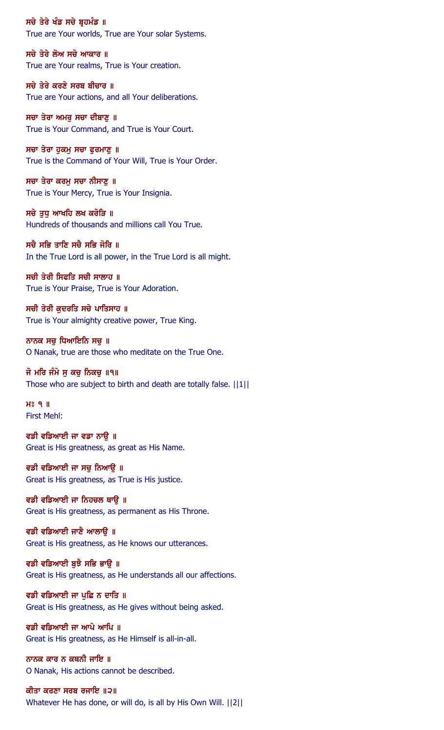ਸਚੇ ਤੇਰੇ ਖੰਡ ਸਚੇ ਬ੍ਰਹਮੰਡ ॥ True are Your worlds, True are Your solar Systems.

ਸਚੇ ਤੇਰੇ ਲੋਅ ਸਚੇ ਆਕਾਰ ॥ True are Your realms, True is Your creation.

ਸਚੇ ਤੇਰੇ ਕਰਣੇ ਸਰਬ ਬੀਚਾਰ ॥ True are Your actions, and all Your deliberations.

ਸਚਾ ਤੇਰਾ ਅਮਰੁ ਸਚਾ ਦੀਬਾਣੁ ॥ True is Your Command, and True is Your Court.

ਸਚਾ ਤੇਰਾ ਹੁਕਮੁ ਸਚਾ ਫੁਰਮਾਣੁ ॥ True is the Command of Your Will, True is Your Order.

ਸਚਾ ਤੇਰਾ ਕਰਮੂ ਸਚਾ ਨੀਸਾਣੂ ॥ True is Your Mercy, True is Your Insignia.

ਸਚੇ ਤਧ ਆਖਹਿ ਲਖ ਕਰੋੜਿ ॥ Hundreds of thousands and millions call You True.

ਸਚੈ ਸਭਿ ਤਾਣਿ ਸਚੈ ਸਭਿ ਜੋਰਿ ॥ In the True Lord is all power, in the True Lord is all might.

ਸਚੀ ਤੇਰੀ ਸਿਫਤਿ ਸਚੀ ਸਾਲਾਹ ॥ True is Your Praise, True is Your Adoration.

ਸਚੀ ਤੇਰੀ ਕਦਰਤਿ ਸਚੇ ਪਾਤਿਸਾਹ ॥ True is Your almighty creative power, True King.

ਨਾਨਕ ਸਚੁ ਧਿਆਇਨਿ ਸਚੁ ॥ O Nanak, true are those who meditate on the True One.

ਜੋ ਮਰਿ ਜੰਮੇ ਸ ਕਚ ਨਿਕਚ ॥੧॥ Those who are subject to birth and death are totally false. ||1||

 $H<sup>o</sup>$   $I<sub>II</sub>$ First Mehl:

ਵਡੀ ਵਡਿਆਈ ਜਾ ਵਡਾ ਨਾਉ ॥ Great is His greatness, as great as His Name.

ਵਡੀ ਵਡਿਆਈ ਜਾ ਸਚੁ ਨਿਆਉ ॥ Great is His greatness, as True is His justice.

ਵਡੀ ਵਡਿਆਈ ਜਾ ਨਿਹਚਲ ਥਾਉ ॥ Great is His greatness, as permanent as His Throne.

ਵਡੀ ਵਡਿਆਈ ਜਾਣੈ ਆਲਾੳ ॥ Great is His greatness, as He knows our utterances.

ਵਡੀ ਵਡਿਆਈ ਬਝੈ ਸਭਿ ਭਾੳ ॥ Great is His greatness, as He understands all our affections.

ਵਡੀ ਵਡਿਆਈ ਜਾ ਪੁਛਿ ਨ ਦਾਤਿ ॥ Great is His greatness, as He gives without being asked.

ਵਡੀ ਵਡਿਆਈ ਜਾ ਆਪੇ ਆਪਿ ॥ Great is His greatness, as He Himself is all-in-all.

ਨਾਨਕ ਕਾਰ ਨ ਕਥਨੀ ਜਾਇ ॥ O Nanak, His actions cannot be described.

ਕੀਤਾ ਕਰਣਾ ਸਰਬ ਰਜਾਇ ॥੨॥ Whatever He has done, or will do, is all by His Own Will. ||2||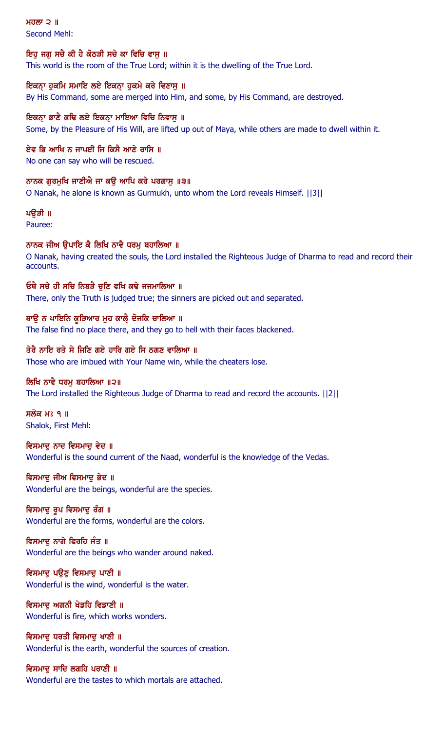ਮਹਲਾ  $2$   $\parallel$ Second Mehl:

## ਇਹ ਜਗ ਸਚੈ ਕੀ ਹੈ ਕੋਠੜੀ ਸਚੇ ਕਾ ਵਿਚਿ ਵਾਸ ॥

This world is the room of the True Lord; within it is the dwelling of the True Lord.

#### ਇਕਨ੍ਾ ਹੁਕਮਿ ਸਮਾਇ ਲਏ ਇਕਨ੍ਾ ਹੁਕਮੇ ਕਰੇ ਵਿਣਾਸੁ ॥

By His Command, some are merged into Him, and some, by His Command, are destroyed.

## ਇਕਨ੍ਾ ਭਾਣੈ ਕਢਿ ਲਏ ਇਕਨ੍ਾ ਮਾਇਆ ਵਿਚਿ ਨਿਵਾਸੁ ॥

Some, by the Pleasure of His Will, are lifted up out of Maya, while others are made to dwell within it.

## ਏਵ ਭਿ ਆਖਿ ਨ ਜਾਪਈ ਜਿ ਕਿਸੈ ਆਣੇ ਰਾਸਿ ॥

No one can say who will be rescued.

#### ਨਾਨਕ ਗੁਰਮੁਖਿ ਜਾਣੀਐ ਜਾ ਕਉ ਆਪਿ ਕਰੇ ਪਰਗਾਸੁ ॥੩॥

O Nanak, he alone is known as Gurmukh, unto whom the Lord reveals Himself. ||3||

#### ਪੳੜੀ ॥

Pauree:

## ਨਾਨਕ ਜੀਅ ਉਪਾਇ ਕੈ ਲਿਖਿ ਨਾਵੈ ਧਰਮੁ ਬਹਾਲਿਆ ॥

O Nanak, having created the souls, the Lord installed the Righteous Judge of Dharma to read and record their accounts.

#### ਓਥੈ ਸਚੇ ਹੀ ਸਚਿ ਨਿਬੜੈ ਚੁਣਿ ਵਖਿ ਕਢੇ ਜਜਮਾਲਿਆ ॥

There, only the Truth is judged true; the sinners are picked out and separated.

#### ਥਾਉ ਨ ਪਾਇਨਿ ਕੁੜਿਆਰ ਮੂਹ ਕਾਲੈ਼ ਦੋਜਕਿ ਚਾਲਿਆ ॥

The false find no place there, and they go to hell with their faces blackened.

### ਤੇਰੈ ਨਾਇ ਰਤੇ ਸੇ ਜਿਣਿ ਗਏ ਹਾਰਿ ਗਏ ਸਿ ਠਗਣ ਵਾਲਿਆ ॥

Those who are imbued with Your Name win, while the cheaters lose.

#### ਲਿਖਿ ਨਾਵੈ ਧਰਮ ਬਹਾਲਿਆ ॥੨॥

The Lord installed the Righteous Judge of Dharma to read and record the accounts. ||2||

ਸਲੋਕ ਮਃ ੧ ॥ Shalok, First Mehl:

## ਵਿਸਮਾਦ ਨਾਦ ਵਿਸਮਾਦ ਵੇਦ ॥ Wonderful is the sound current of the Naad, wonderful is the knowledge of the Vedas.

#### ਵਿਸਮਾਦੂ ਜੀਅ ਵਿਸਮਾਦੂ ਭੇਦ ॥

Wonderful are the beings, wonderful are the species.

## ਵਿਸਮਾਦੂ ਰੂਪ ਵਿਸਮਾਦੂ ਰੰਗ ॥

Wonderful are the forms, wonderful are the colors.

## ਵਿਸਮਾਦ ਨਾਗੇ ਫਿਰਹਿ ਜੰਤ ॥

Wonderful are the beings who wander around naked.

#### ਵਿਸਮਾਦ ਪੳਣ ਵਿਸਮਾਦ ਪਾਣੀ ॥

Wonderful is the wind, wonderful is the water.

# ਵਿਸਮਾਦ ਅਗਨੀ ਖੇਡਹਿ ਵਿਡਾਣੀ ॥

Wonderful is fire, which works wonders.

#### ਵਿਸਮਾਦ ਧਰਤੀ ਵਿਸਮਾਦ ਖਾਣੀ ॥ Wonderful is the earth, wonderful the sources of creation.

ਵਿਸਮਾਦੂ ਸਾਦਿ ਲਗਹਿ ਪਰਾਣੀ ॥ Wonderful are the tastes to which mortals are attached.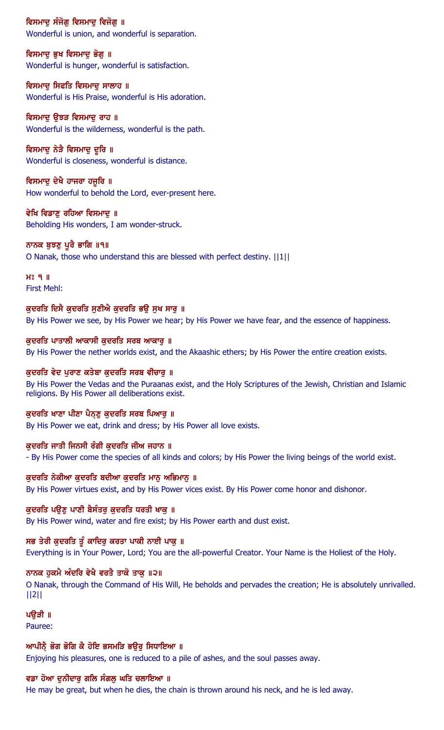## ਵਿਸਮਾਦ ਸੰਜੋਗ ਵਿਸਮਾਦ ਵਿਜੋਗ ॥

Wonderful is union, and wonderful is separation.

## ਵਿਸਮਾਦ ਭਖ ਵਿਸਮਾਦ ਭੋਗ ॥

Wonderful is hunger, wonderful is satisfaction.

## ਵਿਸਮਾਦੂ ਸਿਫਤਿ ਵਿਸਮਾਦੂ ਸਾਲਾਹ ॥

Wonderful is His Praise, wonderful is His adoration.

## ਵਿਸਮਾਦੂ ਉਝੜ ਵਿਸਮਾਦੂ ਰਾਹ ॥

Wonderful is the wilderness, wonderful is the path.

## ਵਿਸਮਾਦੂ ਨੇੜੈ ਵਿਸਮਾਦੂ ਦੂਰਿ ॥

Wonderful is closeness, wonderful is distance.

#### ਵਿਸਮਾਦੂ ਦੇਖੈ ਹਾਜਰਾ ਹਜੂਰਿ ॥

How wonderful to behold the Lord, ever-present here.

# ਵੇਖਿ ਵਿਡਾਣ ਰਹਿਆ ਵਿਸਮਾਦ ॥

Beholding His wonders, I am wonder-struck.

## ਨਾਨਕ ਬੁਝਣੂ ਪੁਰੈ ਭਾਗਿ ॥੧॥

O Nanak, those who understand this are blessed with perfect destiny. ||1||

 $H<sup>s</sup>$   $q$  || First Mehl:

## ਕਦਰਤਿ ਦਿਸੈ ਕਦਰਤਿ ਸਣੀਐ ਕਦਰਤਿ ਭੳ ਸਖ ਸਾਰ ॥

By His Power we see, by His Power we hear; by His Power we have fear, and the essence of happiness.

## ਕੁਦਰਤਿ ਪਾਤਾਲੀ ਆਕਾਸੀ ਕੁਦਰਤਿ ਸਰਬ ਆਕਾਰੂ ॥

By His Power the nether worlds exist, and the Akaashic ethers; by His Power the entire creation exists.

## ਕਦਰਤਿ ਵੇਦ ਪਰਾਣ ਕਤੇਬਾ ਕਦਰਤਿ ਸਰਬ ਵੀਚਾਰ ॥

By His Power the Vedas and the Puraanas exist, and the Holy Scriptures of the Jewish, Christian and Islamic religions. By His Power all deliberations exist.

## ਕੁਦਰਤਿ ਖਾਣਾ ਪੀਣਾ ਪੈਨ੍ਣੂ ਕੁਦਰਤਿ ਸਰਬ ਪਿਆਰੂ ॥

By His Power we eat, drink and dress; by His Power all love exists.

## ਕਦਰਤਿ ਜਾਤੀ ਜਿਨਸੀ ਰੰਗੀ ਕਦਰਤਿ ਜੀਅ ਜਹਾਨ ॥

- By His Power come the species of all kinds and colors; by His Power the living beings of the world exist.

## ਕੁਦਰਤਿ ਨੇਕੀਆ ਕੁਦਰਤਿ ਬਦੀਆ ਕੁਦਰਤਿ ਮਾਨੂ ਅਭਿਮਾਨੂ ॥

By His Power virtues exist, and by His Power vices exist. By His Power come honor and dishonor.

## ਕੁਦਰਤਿ ਪਉਣੂ ਪਾਣੀ ਬੈਸੰਤਰੂ ਕੁਦਰਤਿ ਧਰਤੀ ਖਾਕੂ ॥

By His Power wind, water and fire exist; by His Power earth and dust exist.

## ਸਭ ਤੇਰੀ ਕੁਦਰਤਿ ਤੂੰ ਕਾਦਿਰੁ ਕਰਤਾ ਪਾਕੀ ਨਾਈ ਪਾਕੁ **॥**

Everything is in Your Power, Lord; You are the all-powerful Creator. Your Name is the Holiest of the Holy.

## ਨਾਨਕ ਹਕਮੈ ਅੰਦਰਿ ਵੇਖੈ ਵਰਤੈ ਤਾਕੋ ਤਾਕ ॥੨॥

O Nanak, through the Command of His Will, He beholds and pervades the creation; He is absolutely unrivalled. ||2||

## ਪੳੜੀ ॥

Pauree:

## ਆਪੀਨੈ ਭੋਗ ਭੋਗਿ ਕੈ ਹੋਇ ਭਸਮੜਿ ਭਉਰੂ ਸਿਧਾਇਆ ॥

Enjoying his pleasures, one is reduced to a pile of ashes, and the soul passes away.

## ਵਡਾ ਹੋਆ ਦਨੀਦਾਰ ਗਲਿ ਸੰਗਲ ਘਤਿ ਚਲਾਇਆ ॥

He may be great, but when he dies, the chain is thrown around his neck, and he is led away.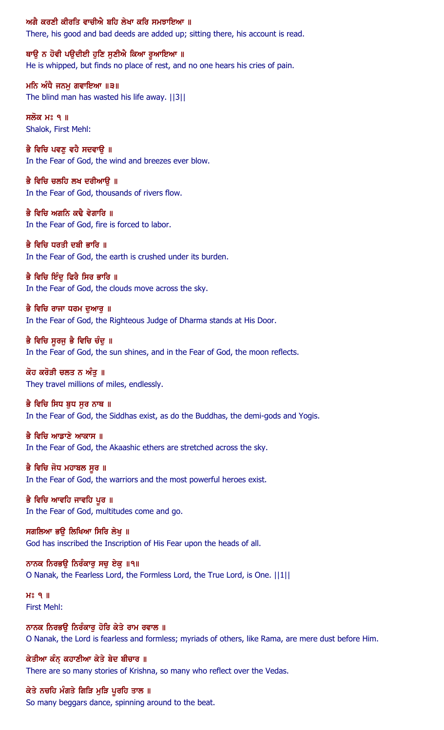#### ਅਗੈ ਕਰਣੀ ਕੀਰਤਿ ਵਾਚੀਐ ਬਹਿ ਲੇਖਾ ਕਰਿ ਸਮਝਾਇਆ ॥

There, his good and bad deeds are added up; sitting there, his account is read.

ਥਾਉ ਨ ਹੋਵੀ ਪਉਦੀਈ ਹੁਣਿ ਸੁਣੀਐ ਕਿਆ ਰੁਆਇਆ ॥ He is whipped, but finds no place of rest, and no one hears his cries of pain.

ਮਨਿ ਅੰਧੈ ਜਨਮੁ ਗਵਾਇਆ ॥੩॥ The blind man has wasted his life away. ||3||

ਸਲੋਕ ਮਃ ੧ ॥ Shalok, First Mehl:

ਭੈ ਵਿਚਿ ਪਵਣੂ ਵਹੈ ਸਦਵਾਉ ॥ In the Fear of God, the wind and breezes ever blow.

ਭੈ ਵਿਚਿ ਚਲਹਿ ਲਖ ਦਰੀਆਉ ॥ In the Fear of God, thousands of rivers flow.

ਭੈ ਵਿਚਿ ਅਗਨਿ ਕਢੈ ਵੇਗਾਰਿ ॥ In the Fear of God, fire is forced to labor.

ਭੈ ਵਿਚਿ ਧਰਤੀ ਦਬੀ ਭਾਰਿ ॥ In the Fear of God, the earth is crushed under its burden.

ਭੈ ਵਿਚਿ ਇੰਦ ਫਿਰੈ ਸਿਰ ਭਾਰਿ ॥ In the Fear of God, the clouds move across the sky.

ਭੈ ਵਿਚਿ ਰਾਜਾ ਧਰਮ ਦਆਰ ॥ In the Fear of God, the Righteous Judge of Dharma stands at His Door.

ਭੈ ਵਿਚਿ ਸੁਰਜੁ ਭੈ ਵਿਚਿ ਚੰਦੁ ॥ In the Fear of God, the sun shines, and in the Fear of God, the moon reflects.

ਕੋਹ ਕਰੋੜੀ ਚਲਤ ਨ ਅੰਤ $\,$  ॥ They travel millions of miles, endlessly.

ਭੈ ਵਿਚਿ ਸਿਧ ਬਧ ਸਰ ਨਾਥ ॥ In the Fear of God, the Siddhas exist, as do the Buddhas, the demi-gods and Yogis.

ਭੈ ਵਿਚਿ ਆਡਾਣੇ ਆਕਾਸ ॥ In the Fear of God, the Akaashic ethers are stretched across the sky.

ਭੈ ਵਿਚਿ ਜੋਧ ਮਹਾਬਲ ਸੁਰ ॥ In the Fear of God, the warriors and the most powerful heroes exist.

ਭੈ ਵਿਚਿ ਆਵਹਿ ਜਾਵਹਿ ਪੁਰ ॥ In the Fear of God, multitudes come and go.

ਸਗਲਿਆ ਭਉ ਲਿਖਿਆ ਸਿਰਿ ਲੇਖੁ ॥ God has inscribed the Inscription of His Fear upon the heads of all.

ਨਾਨਕ ਨਿਰਭੳ ਨਿਰੰਕਾਰ ਸਚ ਏਕ ॥੧॥ O Nanak, the Fearless Lord, the Formless Lord, the True Lord, is One. ||1||

 $H<sup>s</sup>$  q  $\parallel$ First Mehl:

ਨਾਨਕ ਨਿਰਭਉ ਨਿਰੰਕਾਰੂ ਹੋਰਿ ਕੇਤੇ ਰਾਮ ਰਵਾਲ ॥ O Nanak, the Lord is fearless and formless; myriads of others, like Rama, are mere dust before Him.

ਕੇਤੀਆ ਕੰਨ ਕਹਾਣੀਆ ਕੇਤੇ ਬੇਦ ਬੀਚਾਰ ॥ There are so many stories of Krishna, so many who reflect over the Vedas.

ਕੇਤੇ ਨਚਹਿ ਮੰਗਤੇ ਗਿੜਿ ਮੁੜਿ ਪੁਰਹਿ ਤਾਲ ॥

So many beggars dance, spinning around to the beat.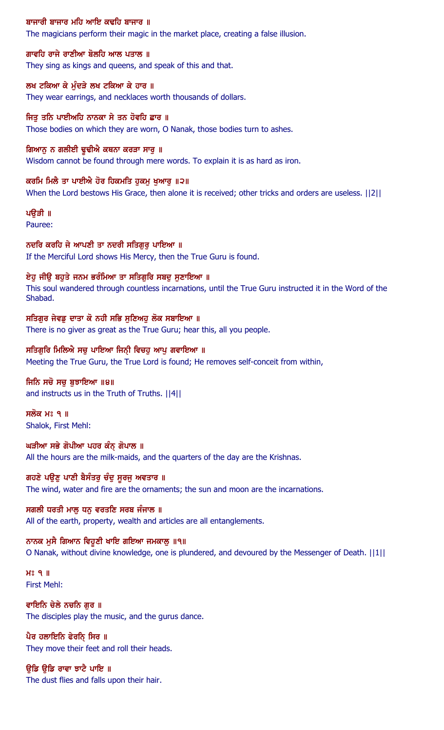## ਬਾਜਾਰੀ ਬਾਜਾਰ ਮਹਿ ਆਇ ਕਢਹਿ ਬਾਜਾਰ ॥

The magicians perform their magic in the market place, creating a false illusion.

ਗਾਵਹਿ ਰਾਜੇ ਰਾਣੀਆ ਬੋਲਹਿ ਆਲ ਪਤਾਲ ॥ They sing as kings and queens, and speak of this and that.

ਲਖ ਟਕਿਆ ਕੇ ਮੁੰਦੜੇ ਲਖ ਟਕਿਆ ਕੇ ਹਾਰ ॥ They wear earrings, and necklaces worth thousands of dollars.

ਜਿਤੂ ਤਨਿ ਪਾਈਅਹਿ ਨਾਨਕਾ ਸੇ ਤਨ ਹੋਵਹਿ ਛਾਰ ॥ Those bodies on which they are worn, O Nanak, those bodies turn to ashes.

ਗਿਆਨੂ ਨ ਗਲੀਈ ਢੁਢੀਐ ਕਥਨਾ ਕਰੜਾ ਸਾਰੂ ॥ Wisdom cannot be found through mere words. To explain it is as hard as iron.

ਕਰਮਿ ਮਿਲੈ ਤਾ ਪਾਈਐ ਹੋਰ ਹਿਕਮਤਿ ਹੁਕਮੂ ਖੁਆਰੂ ॥੨॥ When the Lord bestows His Grace, then alone it is received; other tricks and orders are useless. ||2||

ਪੳੜੀ ॥

Pauree:

ਨਦਰਿ ਕਰਹਿ ਜੇ ਆਪਣੀ ਤਾ ਨਦਰੀ ਸਤਿਗੁਰੂ ਪਾਇਆ ॥ If the Merciful Lord shows His Mercy, then the True Guru is found.

ਏਹੂ ਜੀਉ ਬਹੁਤੇ ਜਨਮ ਭਰੰਮਿਆ ਤਾ ਸਤਿਗੁਰਿ ਸਬਦੂ ਸੁਣਾਇਆ ॥ This soul wandered through countless incarnations, until the True Guru instructed it in the Word of the Shabad.

ਸਤਿਗੁਰ ਜੇਵਡੂ ਦਾਤਾ ਕੋ ਨਹੀ ਸਭਿ ਸੁਣਿਅਹੁ ਲੋਕ ਸਬਾਇਆ ॥ There is no giver as great as the True Guru; hear this, all you people.

ਸਤਿਗਰਿ ਮਿਲਿਐ ਸਚ ਪਾਇਆ ਜਿਨੀ ਵਿਚਹ ਆਪ ਗਵਾਇਆ ॥ Meeting the True Guru, the True Lord is found; He removes self-conceit from within,

ਜਿਨਿ ਸਚੋ ਸਚ ਬਝਾਇਆ ॥੪॥ and instructs us in the Truth of Truths. ||4||

ਸਲੋਕ ਮਃ ੧ ॥ Shalok, First Mehl:

ਘੜੀਆ ਸਭੇ ਗੋਪੀਆ ਪਹਰ ਕੰਨ੍ ਗੋਪਾਲ ॥ All the hours are the milk-maids, and the quarters of the day are the Krishnas.

ਗਹਣੇ ਪਉਣੂ ਪਾਣੀ ਬੈਸੰਤਰੂ ਚੰਦੂ ਸੂਰਜੂ ਅਵਤਾਰ ॥ The wind, water and fire are the ornaments; the sun and moon are the incarnations.

ਸਗਲੀ ਧਰਤੀ ਮਾਲੂ ਧਨੂ ਵਰਤਣਿ ਸਰਬ ਜੰਜਾਲ ॥ All of the earth, property, wealth and articles are all entanglements.

ਨਾਨਕ ਮੁਸੈ ਗਿਆਨ ਵਿਹੁਣੀ ਖਾਇ ਗਇਆ ਜਮਕਾਲੂ ॥੧॥ O Nanak, without divine knowledge, one is plundered, and devoured by the Messenger of Death. ||1||

 $H<sup>o</sup>$   $I<sub>II</sub>$ First Mehl:

ਵਾਇਨਿ ਚੇਲੇ ਨਚਨਿ ਗੁਰ ॥ The disciples play the music, and the gurus dance.

ਪੈਰ ਹਲਾਇਨਿ ਫੇਰਨਿ ਸਿਰ ॥ They move their feet and roll their heads.

ਉਡਿ ਉਡਿ ਰਾਵਾ ਝਾਟੈ ਪਾਇ ॥ The dust flies and falls upon their hair.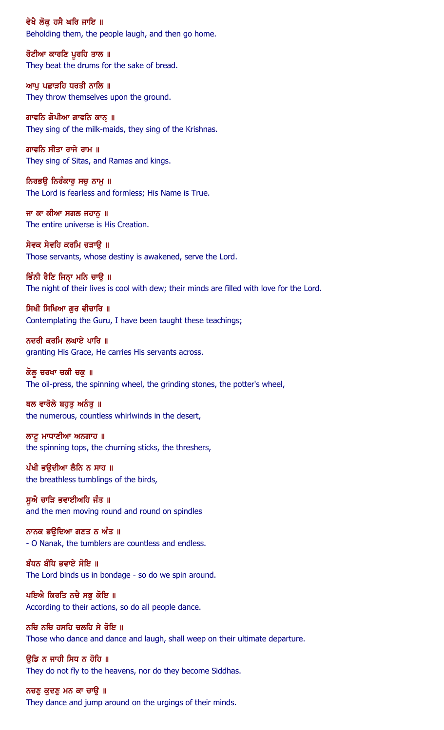ਵੇਖੈ ਲੋਕ ਹਸੈ ਘਰਿ ਜਾਇ ॥ Beholding them, the people laugh, and then go home.

ਰੋਟੀਆ ਕਾਰਣਿ ਪੂਰਹਿ ਤਾਲ ॥ They beat the drums for the sake of bread.

ਆਪੂ ਪਛਾੜਹਿ ਧਰਤੀ ਨਾਲਿ ॥ They throw themselves upon the ground.

ਗਾਵਨਿ ਗੋਪੀਆ ਗਾਵਨਿ ਕਾਨ੍ ॥ They sing of the milk-maids, they sing of the Krishnas.

ਗਾਵਨਿ ਸੀਤਾ ਰਾਜੇ ਰਾਮ ॥ They sing of Sitas, and Ramas and kings.

ਨਿਰਭਉ ਨਿਰੰਕਾਰੂ ਸਚੂ ਨਾਮੂ ॥ The Lord is fearless and formless; His Name is True.

ਜਾ ਕਾ ਕੀਆ ਸਗਲ ਜਹਾਨ ॥ The entire universe is His Creation.

ਸੇਵਕ ਸੇਵਹਿ ਕਰਮਿ ਚੜਾਉ ॥ Those servants, whose destiny is awakened, serve the Lord.

ਭਿੰਨੀ ਰੈਣਿ ਜਿਨ੍ਹਾ ਮਨਿ ਚਾਉ ॥

The night of their lives is cool with dew; their minds are filled with love for the Lord.

ਸਿਖੀ ਸਿਖਿਆ ਗਰ ਵੀਚਾਰਿ ॥ Contemplating the Guru, I have been taught these teachings;

ਨਦਰੀ ਕਰਮਿ ਲਘਾਏ ਪਾਰਿ ॥ granting His Grace, He carries His servants across.

ਕੋਲੂ ਚਰਖਾ ਚਕੀ ਚਕੂ ॥ The oil-press, the spinning wheel, the grinding stones, the potter's wheel,

ਥਲ ਵਾਰੋਲੇ ਬਹੁਤੁ ਅਨੰਤੁ ॥ the numerous, countless whirlwinds in the desert,

ਲਾਟੂ ਮਾਧਾਣੀਆ ਅਨਗਾਹ ॥ the spinning tops, the churning sticks, the threshers,

ਪੰਖੀ ਭਉਦੀਆ ਲੈਨਿ ਨ ਸਾਹ ॥ the breathless tumblings of the birds,

ਸੁਐ ਚਾੜਿ ਭਵਾਈਅਹਿ ਜੰਤ ॥ and the men moving round and round on spindles

ਨਾਨਕ ਭਉਦਿਆ ਗਣਤ ਨ ਅੰਤ ॥ - O Nanak, the tumblers are countless and endless.

ਬੰਧਨ ਬੰਧਿ ਭਵਾਏ ਸੋਇ ॥ The Lord binds us in bondage - so do we spin around.

ਪਇਐ ਕਿਰਤਿ ਨਚੈ ਸਭੁ ਕੋਇ ॥ According to their actions, so do all people dance.

ਨਚਿ ਨਚਿ ਹਸਹਿ ਚਲਹਿ ਸੇ ਰੋਇ ॥ Those who dance and dance and laugh, shall weep on their ultimate departure.

ੳਡਿ ਨ ਜਾਹੀ ਸਿਧ ਨ ਹੋਹਿ ॥ They do not fly to the heavens, nor do they become Siddhas.

ਨਚਣੁ ਕੁਦਣੁ ਮਨ ਕਾ ਚਾਉ ॥ They dance and jump around on the urgings of their minds.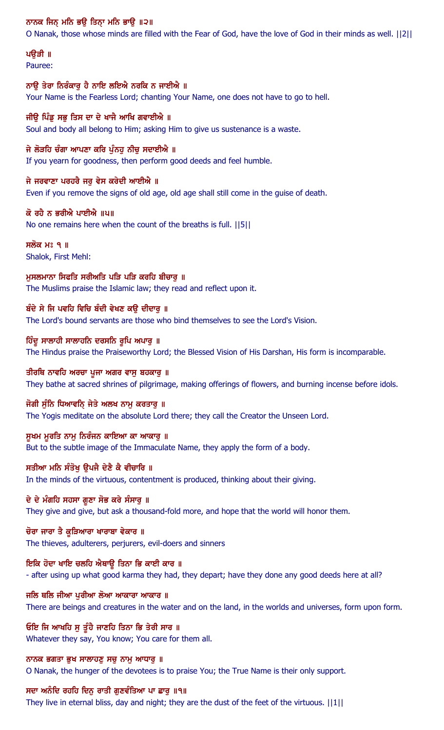## ਨਾਨਕ ਜਿਨ੍ ਮਨਿ ਭਉ ਤਿਨ੍ਹਾ ਮਨਿ ਭਾਉ ॥੨॥

O Nanak, those whose minds are filled with the Fear of God, have the love of God in their minds as well. ||2||

#### ਪੳੜੀ ॥ Pauree:

ਨਾਉ ਤੇਰਾ ਨਿਰੰਕਾਰੂ ਹੈ ਨਾਇ ਲਇਐ ਨਰਕਿ ਨ ਜਾਈਐ ॥

Your Name is the Fearless Lord; chanting Your Name, one does not have to go to hell.

## ਜੀਉ ਪਿੰਡੂ ਸਭੂ ਤਿਸ ਦਾ ਦੇ ਖਾਜੈ ਆਖਿ ਗਵਾਈਐ ॥ Soul and body all belong to Him; asking Him to give us sustenance is a waste.

ਜੇ ਲੋੜਹਿ ਚੰਗਾ ਆਪਣਾ ਕਰਿ ਪੁੰਨਹੁ ਨੀਚੁ ਸਦਾਈਐ ॥ If you yearn for goodness, then perform good deeds and feel humble.

ਜੇ ਜਰਵਾਣਾ ਪਰਹਰੈ ਜਰੁ ਵੇਸ ਕਰੇਦੀ ਆਈਐ ॥ Even if you remove the signs of old age, old age shall still come in the guise of death.

## ਕੋ ਰਹੈ ਨ ਭਰੀਐ ਪਾਈਐ ॥੫॥

No one remains here when the count of the breaths is full. ||5||

ਸਲੋਕ ਮਃ ੧ ॥ Shalok, First Mehl:

ਮੁਸਲਮਾਨਾ ਸਿਫਤਿ ਸਰੀਅਤਿ ਪੜਿ ਪੜਿ ਕਰਹਿ ਬੀਚਾਰੂ ॥ The Muslims praise the Islamic law; they read and reflect upon it.

## ਬੰਦੇ ਸੇ ਜਿ ਪਵਹਿ ਵਿਚਿ ਬੰਦੀ ਵੇਖਣ ਕੳ ਦੀਦਾਰ ॥ The Lord's bound servants are those who bind themselves to see the Lord's Vision.

## ਹਿੰਦੂ ਸਾਲਾਹੀ ਸਾਲਾਹਨਿ ਦਰਸਨਿ ਰੂਪਿ ਅਪਾਰੁ ॥

The Hindus praise the Praiseworthy Lord; the Blessed Vision of His Darshan, His form is incomparable.

## ਤੀਰਥਿ ਨਾਵਹਿ ਅਰਚਾ ਪੂਜਾ ਅਗਰ ਵਾਸੂ ਬਹਕਾਰੂ ॥

They bathe at sacred shrines of pilgrimage, making offerings of flowers, and burning incense before idols.

## ਜੋਗੀ ਸੁੰਨਿ ਧਿਆਵਨਿ ਜੇਤੇ ਅਲਖ ਨਾਮੂ ਕਰਤਾਰੂ ॥

The Yogis meditate on the absolute Lord there; they call the Creator the Unseen Lord.

## ਸੁਖਮ ਮੁਰਤਿ ਨਾਮੁ ਨਿਰੰਜਨ ਕਾਇਆ ਕਾ ਆਕਾਰੁ ॥

But to the subtle image of the Immaculate Name, they apply the form of a body.

## ਸਤੀਆ ਮਨਿ ਸੰਤੋਖੂ ਉਪਜੈ ਦੇਣੈ ਕੈ ਵੀਚਾਰਿ ॥

In the minds of the virtuous, contentment is produced, thinking about their giving.

## ਦੇ ਦੇ ਮੰਗਹਿ ਸਹਸਾ ਗੁਣਾ ਸੋਭ ਕਰੇ ਸੰਸਾਰੂ ॥

They give and give, but ask a thousand-fold more, and hope that the world will honor them.

## ਚੋਰਾ ਜਾਰਾ ਤੈ ਕੁੜਿਆਰਾ ਖਾਰਾਬਾ ਵੇਕਾਰ ॥

The thieves, adulterers, perjurers, evil-doers and sinners

## ਇਕਿ ਹੋਦਾ ਖਾਇ ਚਲਹਿ ਐਥਾਉ ਤਿਨਾ ਭਿ ਕਾਈ ਕਾਰ ॥

- after using up what good karma they had, they depart; have they done any good deeds here at all?

## ਜਲਿ ਥਲਿ ਜੀਆ ਪੁਰੀਆ ਲੋਆ ਆਕਾਰਾ ਆਕਾਰ ॥

There are beings and creatures in the water and on the land, in the worlds and universes, form upon form.

## ਓਇ ਜਿ ਆਖਹਿ ਸੁ ਤੁੰਹੈ ਜਾਣਹਿ ਤਿਨਾ ਭਿ ਤੇਰੀ ਸਾਰ ॥

Whatever they say, You know; You care for them all.

## ਨਾਨਕ ਭਗਤਾ ਭਖ ਸਾਲਾਹਣ ਸਚ ਨਾਮ ਆਧਾਰ  $\parallel$

O Nanak, the hunger of the devotees is to praise You; the True Name is their only support.

## ਸਦਾ ਅਨੰਦਿ ਰਹਹਿ ਦਿਨੁ ਰਾਤੀ ਗੁਣਵੰਤਿਆ ਪਾ ਛਾਰੁ ॥੧॥

They live in eternal bliss, day and night; they are the dust of the feet of the virtuous. ||1||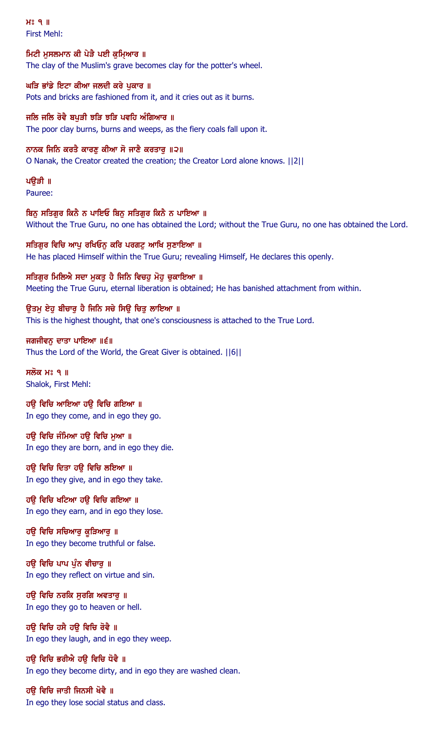$H<sup>s</sup>$  q  $\parallel$ First Mehl:

ਮਿਟੀ ਮਸਲਮਾਨ ਕੀ ਪੇੜੈ ਪਈ ਕਮਿਆਰ ॥ The clay of the Muslim's grave becomes clay for the potter's wheel.

ਘੜਿ ਭਾਂਡੇ ਇਟਾ ਕੀਆ ਜਲਦੀ ਕਰੇ ਪੁਕਾਰ ॥ Pots and bricks are fashioned from it, and it cries out as it burns.

ਜਲਿ ਜਲਿ ਰੋਵੈ ਬਪੜੀ ਝੜਿ ਝੜਿ ਪਵਹਿ ਅੰਗਿਆਰ ॥ The poor clay burns, burns and weeps, as the fiery coals fall upon it.

ਨਾਨਕ ਜਿਨਿ ਕਰਤੈ ਕਾਰਣੂ ਕੀਆ ਸੋ ਜਾਣੈ ਕਰਤਾਰੂ ॥੨॥ O Nanak, the Creator created the creation; the Creator Lord alone knows. ||2||

ਪੳੜੀ ॥ Pauree:

ਬਿਨ ਸਤਿਗਰ ਕਿਨੈ ਨ ਪਾਇਓ ਬਿਨ ਸਤਿਗਰ ਕਿਨੈ ਨ ਪਾਇਆ ॥ Without the True Guru, no one has obtained the Lord; without the True Guru, no one has obtained the Lord.

ਸਤਿਗੁਰ ਵਿਚਿ ਆਪੂ ਰਖਿਓਨੂ ਕਰਿ ਪਰਗਟੂ ਆਖਿ ਸੁਣਾਇਆ ॥ He has placed Himself within the True Guru; revealing Himself, He declares this openly.

ਸਤਿਗੁਰ ਮਿਲਿਐ ਸਦਾ ਮੁਕਤੁ ਹੈ ਜਿਨਿ ਵਿਚਹੁ ਮੋਹੁ ਚੁਕਾਇਆ ॥ Meeting the True Guru, eternal liberation is obtained; He has banished attachment from within.

ੳਤਮ ਏਹ ਬੀਚਾਰ ਹੈ ਜਿਨਿ ਸਚੇ ਸਿੳ ਚਿਤ ਲਾਇਆ ॥ This is the highest thought, that one's consciousness is attached to the True Lord.

ਜਗਜੀਵਨੂ ਦਾਤਾ ਪਾਇਆ ॥੬॥ Thus the Lord of the World, the Great Giver is obtained. ||6||

ਸਲੋਕ ਮਃ ੧ ॥ Shalok, First Mehl:

ਹੳ ਵਿਚਿ ਆਇਆ ਹੳ ਵਿਚਿ ਗਇਆ ॥ In ego they come, and in ego they go.

ਹਉ ਵਿਚਿ ਜੰਮਿਆ ਹਉ ਵਿਚਿ ਮੁਆ ॥ In ego they are born, and in ego they die.

ਹਉ ਵਿਚਿ ਦਿਤਾ ਹਉ ਵਿਚਿ ਲਇਆ ॥ In ego they give, and in ego they take.

ਹਉ ਵਿਚਿ ਖਟਿਆ ਹਉ ਵਿਚਿ ਗਇਆ ॥ In ego they earn, and in ego they lose.

ਹਉ ਵਿਚਿ ਸਚਿਆਰੁ ਕੁੜਿਆਰੁ ॥ In ego they become truthful or false.

ਹੳ ਵਿਚਿ ਪਾਪ ਪੰਨ ਵੀਚਾਰ ॥ In ego they reflect on virtue and sin.

ਹਉ ਵਿਚਿ ਨਰਕਿ ਸੁਰਗਿ ਅਵਤਾਰੁ ॥ In ego they go to heaven or hell.

ਹਉ ਵਿਚਿ ਹਸੈ ਹਉ ਵਿਚਿ ਰੋਵੈ ॥ In ego they laugh, and in ego they weep.

ਹੳ ਵਿਚਿ ਭਰੀਐ ਹੳ ਵਿਚਿ ਧੋਵੈ ॥ In ego they become dirty, and in ego they are washed clean.

ਹਉ ਵਿਚਿ ਜਾਤੀ ਜਿਨਸੀ ਖੋਵੈ ॥ In ego they lose social status and class.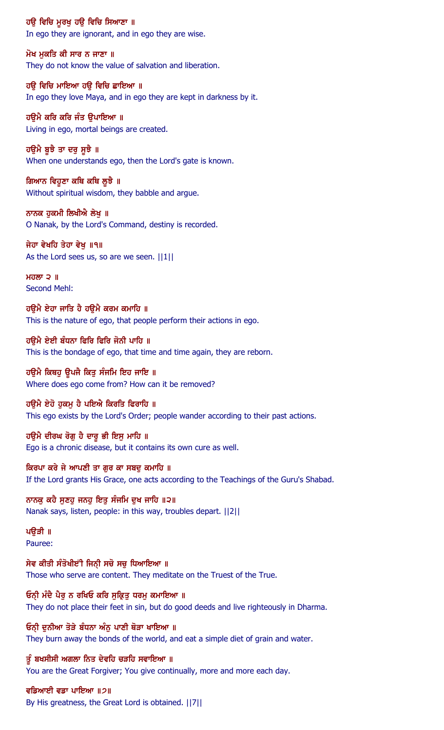ਹਉ ਵਿਚਿ ਮੁਰਖੁ ਹਉ ਵਿਚਿ ਸਿਆਣਾ ॥

In ego they are ignorant, and in ego they are wise.

ਮੋਖ ਮਕਤਿ ਕੀ ਸਾਰ ਨ ਜਾਣਾ ॥ They do not know the value of salvation and liberation.

ਹਉ ਵਿਚਿ ਮਾਇਆ ਹਉ ਵਿਚਿ ਛਾਇਆ ॥ In ego they love Maya, and in ego they are kept in darkness by it.

ਹਉਮੈ ਕਰਿ ਕਰਿ ਜੰਤ ਉਪਾਇਆ ॥ Living in ego, mortal beings are created.

ਹਉਮੈ ਬੁਝੈ ਤਾ ਦਰੁ ਸੁਝੈ ॥ When one understands ego, then the Lord's gate is known.

ਗਿਆਨ ਵਿਹੁਣਾ ਕਥਿ ਕਥਿ ਲੂਝੈ ॥ Without spiritual wisdom, they babble and argue.

ਨਾਨਕ ਹਕਮੀ ਲਿਖੀਐ ਲੇਖ ॥ O Nanak, by the Lord's Command, destiny is recorded.

ਜੇਹਾ ਵੇਖਹਿ ਤੇਹਾ ਵੇਖੁ ॥੧॥ As the Lord sees us, so are we seen.  $||1||$ 

ਮਹਲਾ  $2$   $\parallel$ Second Mehl:

ਹੳਮੈ ਏਹਾ ਜਾਤਿ ਹੈ ਹੳਮੈ ਕਰਮ ਕਮਾਹਿ ॥ This is the nature of ego, that people perform their actions in ego.

ਹੳਮੈ ਏਈ ਬੰਧਨਾ ਫਿਰਿ ਫਿਰਿ ਜੋਨੀ ਪਾਹਿ ॥ This is the bondage of ego, that time and time again, they are reborn.

ਹੳਮੈ ਕਿਥਹੁ ਉਪਜੈ ਕਿਤੁ ਸੰਜਮਿ ਇਹ ਜਾਇ ॥ Where does ego come from? How can it be removed?

ਹੳਮੈ ਏਹੋ ਹਕਮ ਹੈ ਪਇਐ ਕਿਰਤਿ ਫਿਰਾਹਿ ॥ This ego exists by the Lord's Order; people wander according to their past actions.

ਹਉਮੈ ਦੀਰਘ ਰੋਗੁ ਹੈ ਦਾਰੂ ਭੀ ਇਸੁ ਮਾਹਿ ॥ Ego is a chronic disease, but it contains its own cure as well.

ਕਿਰਪਾ ਕਰੇ ਜੇ ਆਪਣੀ ਤਾ ਗੁਰ ਕਾ ਸਬਦੂ ਕਮਾਹਿ ॥ If the Lord grants His Grace, one acts according to the Teachings of the Guru's Shabad.

ਨਾਨਕੂ ਕਹੈ ਸੁਣਹੁ ਜਨਹੁ ਇਤੁ ਸੰਜਮਿ ਦੁਖ ਜਾਹਿ ॥੨॥ Nanak says, listen, people: in this way, troubles depart. ||2||

ਪੳੜੀ ॥ Pauree:

ਸੇਵ ਕੀਤੀ ਸੰਤੋਖੀੲਂੀ ਜਿਨੀ ਸਚੋ ਸਚ ਧਿਆਇਆ ॥ Those who serve are content. They meditate on the Truest of the True.

ਓਨੀ ਮੰਦੈ ਪੈਰੂ ਨ ਰਖਿਓ ਕਰਿ ਸੁਕ੍ਰਿਤੂ ਧਰਮੂ ਕਮਾਇਆ ॥ They do not place their feet in sin, but do good deeds and live righteously in Dharma.

ਓਨੀ ਦੁਨੀਆ ਤੋੜੇ ਬੰਧਨਾ ਅੰਨੂ ਪਾਣੀ ਥੋੜਾ ਖਾਇਆ ॥ They burn away the bonds of the world, and eat a simple diet of grain and water.

ਤੂੰ ਬਖਸੀਸੀ ਅਗਲਾ ਨਿਤ ਦੇਵਹਿ ਚੜਹਿ ਸਵਾਇਆ ॥ You are the Great Forgiver; You give continually, more and more each day.

ਵਡਿਆਈ ਵਡਾ ਪਾਇਆ ॥੭॥ By His greatness, the Great Lord is obtained. ||7||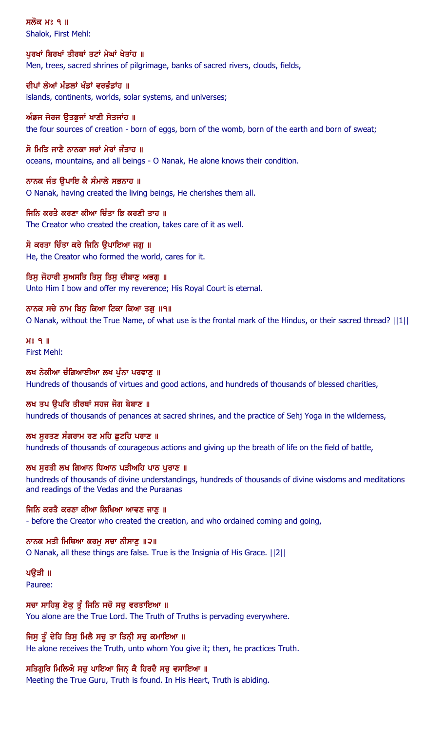ਸਲੋਕ ਮਃ ੧ ॥ Shalok, First Mehl:

ਪਰਖਾਂ ਬਿਰਖਾਂ ਤੀਰਥਾਂ ਤਟਾਂ ਮੇਘਾਂ ਖੇਤਾਂਹ ॥ Men, trees, sacred shrines of pilgrimage, banks of sacred rivers, clouds, fields,

ਦੀਪਾਂ ਲੋਆਂ ਮੰਡਲਾਂ ਖੰਡਾਂ ਵਰਭੰਡਾਂਹ ॥ islands, continents, worlds, solar systems, and universes;

ਅੰਡਜ ਜੇਰਜ ਉਤਭੁਜਾਂ ਖਾਣੀ ਸੇਤਜਾਂਹ ॥ the four sources of creation - born of eggs, born of the womb, born of the earth and born of sweat;

ਸੋ ਮਿਤਿ ਜਾਣੈ ਨਾਨਕਾ ਸਰਾਂ ਮੇਰਾਂ ਜੰਤਾਹ ॥ oceans, mountains, and all beings - O Nanak, He alone knows their condition.

ਨਾਨਕ ਜੰਤ ੳਪਾਇ ਕੈ ਸੰਮਾਲੇ ਸਭਨਾਹ ॥ O Nanak, having created the living beings, He cherishes them all.

ਜਿਨਿ ਕਰਤੈ ਕਰਣਾ ਕੀਆ ਚਿੰਤਾ ਭਿ ਕਰਣੀ ਤਾਹ ॥ The Creator who created the creation, takes care of it as well.

ਸੋ ਕਰਤਾ ਚਿੰਤਾ ਕਰੇ ਜਿਨਿ ਉਪਾਇਆ ਜਗੂ ॥ He, the Creator who formed the world, cares for it.

ਤਿਸੁ ਜੋਹਾਰੀ ਸੁਅਸਤਿ ਤਿਸੁ ਤਿਸੁ ਦੀਬਾਣੂ ਅਭਗੂ ॥ Unto Him I bow and offer my reverence; His Royal Court is eternal.

ਨਾਨਕ ਸਚੇ ਨਾਮ ਬਿਨ ਕਿਆ ਟਿਕਾ ਕਿਆ ਤਗ ॥੧॥ O Nanak, without the True Name, of what use is the frontal mark of the Hindus, or their sacred thread? ||1||

 $H<sup>o</sup>$   $9$   $\parallel$ First Mehl:

ਲਖ ਨੇਕੀਆ ਚੰਗਿਆਈਆ ਲਖ ਪੰਨਾ ਪਰਵਾਣ ॥ Hundreds of thousands of virtues and good actions, and hundreds of thousands of blessed charities,

ਲਖ ਤਪ ੳਪਰਿ ਤੀਰਥਾਂ ਸਹਜ ਜੋਗ ਬੇਬਾਣ ॥ hundreds of thousands of penances at sacred shrines, and the practice of Sehj Yoga in the wilderness,

ਲਖ ਸੂਰਤਣ ਸੰਗਰਾਮ ਰਣ ਮਹਿ ਛੁਟਹਿ ਪਰਾਣ ॥ hundreds of thousands of courageous actions and giving up the breath of life on the field of battle,

ਲਖ ਸੁਰਤੀ ਲਖ ਗਿਆਨ ਧਿਆਨ ਪੜੀਅਹਿ ਪਾਠ ਪੁਰਾਣ ॥ hundreds of thousands of divine understandings, hundreds of thousands of divine wisdoms and meditations and readings of the Vedas and the Puraanas

ਜਿਨਿ ਕਰਤੈ ਕਰਣਾ ਕੀਆ ਲਿਖਿਆ ਆਵਣ ਜਾਣੂ ॥ - before the Creator who created the creation, and who ordained coming and going,

ਨਾਨਕ ਮਤੀ ਮਿਥਿਆ ਕਰਮੁ ਸਚਾ ਨੀਸਾਣੁ ॥੨॥ O Nanak, all these things are false. True is the Insignia of His Grace. ||2||

ਪੳੜੀ ॥ Pauree:

ਸਚਾ ਸਾਹਿਬੂ ਏਕੂ ਤੂੰ ਜਿਨਿ ਸਚੋ ਸਚੁ ਵਰਤਾਇਆ ॥ You alone are the True Lord. The Truth of Truths is pervading everywhere.

ਜਿਸੂ ਤੂੰ ਦੇਹਿ ਤਿਸੂ ਮਿਲੈ ਸਚੂ ਤਾ ਤਿਨ੍ਹੀ ਸਚੂ ਕਮਾਇਆ ॥ He alone receives the Truth, unto whom You give it; then, he practices Truth.

ਸਤਿਗੁਰਿ ਮਿਲਿਐ ਸਚੁ ਪਾਇਆ ਜਿਨ੍ਹ ਕੈ ਹਿਰਦੈ ਸਚੁ ਵਸਾਇਆ ॥ Meeting the True Guru, Truth is found. In His Heart, Truth is abiding.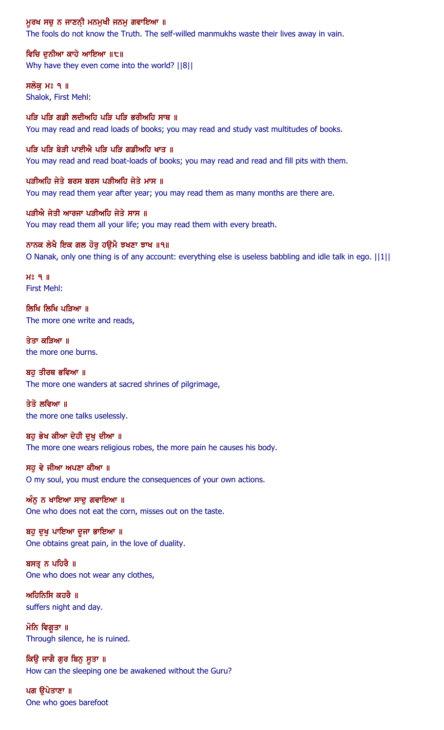#### ਮੁਰਖ ਸਚੂ ਨ ਜਾਣਨੀ ਮਨਮੁਖੀ ਜਨਮੂ ਗਵਾਇਆ ॥

The fools do not know the Truth. The self-willed manmukhs waste their lives away in vain.

ਵਿਚਿ ਦਨੀਆ ਕਾਹੇ ਆਇਆ ॥੮॥ Why have they even come into the world? ||8||

ਸਲੋਕ ਮਃ ੧ ॥ Shalok, First Mehl:

ਪੜਿ ਪੜਿ ਗਡੀ ਲਦੀਅਹਿ ਪੜਿ ਪੜਿ ਭਰੀਅਹਿ ਸਾਥ ॥ You may read and read loads of books; you may read and study vast multitudes of books.

ਪੜਿ ਪੜਿ ਬੇੜੀ ਪਾਈਐ ਪੜਿ ਪੜਿ ਗਡੀਅਹਿ ਖਾਤ ॥ You may read and read boat-loads of books; you may read and read and fill pits with them.

ਪੜੀਅਹਿ ਜੇਤੇ ਬਰਸ ਬਰਸ ਪੜੀਅਹਿ ਜੇਤੇ ਮਾਸ ॥ You may read them year after year; you may read them as many months are there are.

ਪੜੀਐ ਜੇਤੀ ਆਰਜਾ ਪੜੀਅਹਿ ਜੇਤੇ ਸਾਸ ॥ You may read them all your life; you may read them with every breath.

ਨਾਨਕ ਲੇਖੈ ਇਕ ਗਲ ਹੋਰੁ ਹਉਮੈ ਝਖਣਾ ਝਾਖ ॥੧॥ O Nanak, only one thing is of any account: everything else is useless babbling and idle talk in ego. ||1||

 $H<sup>s</sup>$   $q$  || First Mehl:

ਲਿਖਿ ਲਿਖਿ ਪੜਿਆ ॥ The more one write and reads,

ਤੇਤਾ ਕੜਿਆ ॥ the more one burns.

ਬਹ ਤੀਰਥ ਭਵਿਆ ॥ The more one wanders at sacred shrines of pilgrimage,

ਤੇਤੋ ਲਵਿਆ ॥ the more one talks uselessly.

ਬਹੁ ਭੇਖ ਕੀਆ ਦੇਹੀ ਦੁਖ਼ ਦੀਆ ॥ The more one wears religious robes, the more pain he causes his body.

ਸਹੁ ਵੇ ਜੀਆ ਅਪਣਾ ਕੀਆ ॥ O my soul, you must endure the consequences of your own actions.

ਅੰਨੂ ਨ ਖਾਇਆ ਸਾਦੂ ਗਵਾਇਆ ॥ One who does not eat the corn, misses out on the taste.

ਬਹੁ ਦੁਖੁ ਪਾਇਆ ਦੂਜਾ ਭਾਇਆ ॥ One obtains great pain, in the love of duality.

ਬਸਤੂ ਨ ਪਹਿਰੈ ॥ One who does not wear any clothes,

ਅਹਿਨਿਸਿ ਕਹਰੈ $\parallel$ suffers night and day.

ਮੋਨਿ ਵਿਗੁਤਾ ॥ Through silence, he is ruined.

ਕਿੳ ਜਾਗੈ ਗਰ ਬਿਨ ਸਤਾ ॥ How can the sleeping one be awakened without the Guru?

ਪਗ ਉਪੇਤਾਣਾ ॥ One who goes barefoot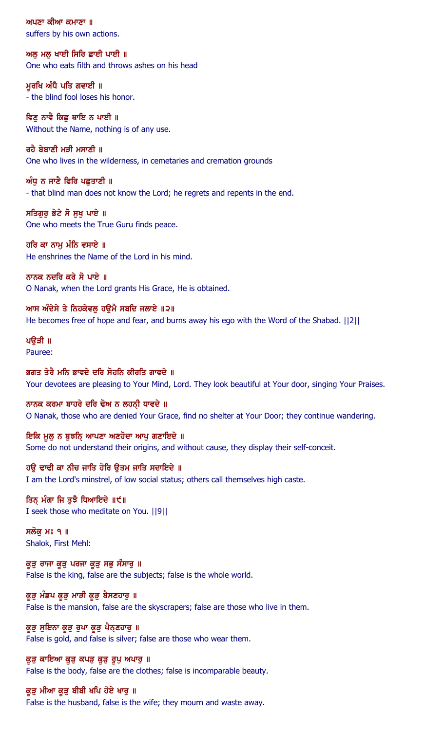ਅਪਣਾ ਕੀਆ ਕਮਾਣਾ ॥ suffers by his own actions.

ਅਲ ਮਲ ਖਾਈ ਸਿਰਿ ਛਾਈ ਪਾਈ ॥ One who eats filth and throws ashes on his head

ਮੁਰਖਿ ਅੰਧੈ ਪਤਿ ਗਵਾਈ ॥ - the blind fool loses his honor.

ਵਿਣ ਨਾਵੈ ਕਿਛ ਥਾਇ ਨ ਪਾਈ ॥ Without the Name, nothing is of any use.

ਰਹੈ ਬੇਬਾਣੀ ਮੜੀ ਮਸਾਣੀ ॥ One who lives in the wilderness, in cemetaries and cremation grounds

ਅੰਧੂ ਨ ਜਾਣੈ ਫਿਰਿ ਪਛੁਤਾਣੀ ॥ - that blind man does not know the Lord; he regrets and repents in the end.

ਸਤਿਗਰ ਭੇਟੇ ਸੋ ਸਖ ਪਾਏ ॥ One who meets the True Guru finds peace.

ਹਰਿ ਕਾ ਨਾਮੂ ਮੰਨਿ ਵਸਾਏ ॥ He enshrines the Name of the Lord in his mind.

ਨਾਨਕ ਨਦਰਿ ਕਰੇ ਸੋ ਪਾਏ ॥ O Nanak, when the Lord grants His Grace, He is obtained.

ਆਸ ਅੰਦੇਸੇ ਤੇ ਨਿਹਕੇਵਲ ਹੳਮੈ ਸਬਦਿ ਜਲਾਏ ॥੨॥ He becomes free of hope and fear, and burns away his ego with the Word of the Shabad. ||2||

## ਪੳੜੀ ॥ Pauree:

ਭਗਤ ਤੇਰੈ ਮਨਿ ਭਾਵਦੇ ਦਰਿ ਸੋਹਨਿ ਕੀਰਤਿ ਗਾਵਦੇ ॥ Your devotees are pleasing to Your Mind, Lord. They look beautiful at Your door, singing Your Praises.

ਨਾਨਕ ਕਰਮਾ ਬਾਹਰੇ ਦਰਿ ਢੋਅ ਨ ਲਹਨੀ ਧਾਵਦੇ ॥ O Nanak, those who are denied Your Grace, find no shelter at Your Door; they continue wandering.

ਇਕਿ ਮੁਲੂ ਨ ਬੁਝਨਿ੍ ਆਪਣਾ ਅਣਹੋਦਾ ਆਪੂ ਗਣਾਇਦੇ ॥ Some do not understand their origins, and without cause, they display their self-conceit.

ਹਉ ਢਾਢੀ ਕਾ ਨੀਚ ਜਾਤਿ ਹੋਰਿ ਉਤਮ ਜਾਤਿ ਸਦਾਇਦੇ ॥ I am the Lord's minstrel, of low social status; others call themselves high caste.

ਤਿਨ੍ ਮੰਗਾ ਜਿ ਤੁਝੈ ਧਿਆਇਦੇ ॥੯॥ I seek those who meditate on You. ||9||

ਸਲੋਕ ਮਃ ੧ ॥ Shalok, First Mehl:

ਕੁੜੂ ਰਾਜਾ ਕੁੜੂ ਪਰਜਾ ਕੁੜੂ ਸਭੂ ਸੰਸਾਰੂ ॥ False is the king, false are the subjects; false is the whole world.

ਕੁੜੂ ਮੰਡਪ ਕੁੜੂ ਮਾੜੀ ਕੁੜੂ ਬੈਸਣਹਾਰੂ ॥ False is the mansion, false are the skyscrapers; false are those who live in them.

ਕੁੜ ਸੁਇਨਾ ਕੁੜ ਰੂਪਾ ਕੁੜ ਪੈਨਣਹਾਰੂ ॥ False is gold, and false is silver; false are those who wear them.

ਕੁੜੂ ਕਾਇਆ ਕੁੜੂ ਕਪੜੂ ਕੁੜੂ ਰੂਪੂ ਅਪਾਰੂ ॥ False is the body, false are the clothes; false is incomparable beauty.

## ਕੁੜੂ ਮੀਆ ਕੁੜੂ ਬੀਬੀ ਖਪਿ ਹੋਏ ਖਾਰੂ ॥

False is the husband, false is the wife; they mourn and waste away.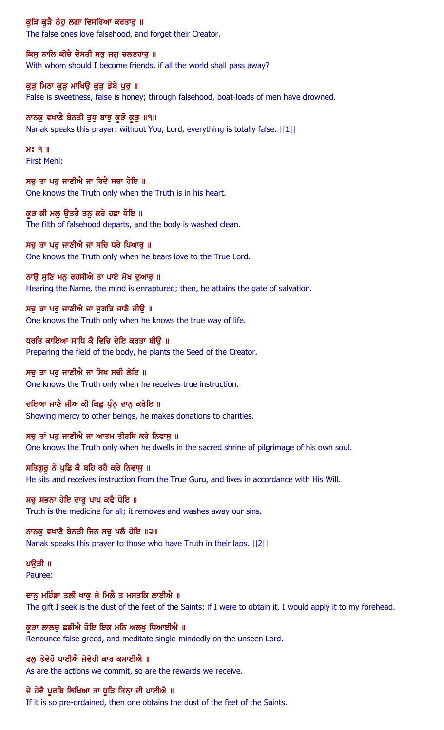ਕੁੜਿ ਕੁੜੈ ਨੇਹੁ ਲਗਾ ਵਿਸਰਿਆ ਕਰਤਾਰੁ ॥

The false ones love falsehood, and forget their Creator.

ਕਿਸੁ ਨਾਲਿ ਕੀਚੈ ਦੋਸਤੀ ਸਭੁ ਜਗੁ ਚਲਣਹਾਰੁ ॥ With whom should I become friends, if all the world shall pass away?

ਕੁੜੂ ਮਿਠਾ ਕੁੜੂ ਮਾਖਿਉ ਕੁੜੂ ਡੋਬੇ ਪੁਰੂ ॥ False is sweetness, false is honey; through falsehood, boat-loads of men have drowned.

ਨਾਨਕੁ ਵਖਾਣੈ ਬੇਨਤੀ ਤੁਧੁ ਬਾਝੁ ਕੁੜੋ ਕੁੜੁ ॥੧॥ Nanak speaks this prayer: without You, Lord, everything is totally false. ||1||

 $H<sup>s</sup>$  q  $\parallel$ First Mehl:

ਸਚੁ ਤਾ ਪਰੁ ਜਾਣੀਐ ਜਾ ਰਿਦੈ ਸਚਾ ਹੋਇ ॥ One knows the Truth only when the Truth is in his heart.

ਕੁੜ ਕੀ ਮਲੁ ਉਤਰੈ ਤਨੁ ਕਰੇ ਹਛਾ ਧੋਇ ॥ The filth of falsehood departs, and the body is washed clean.

ਸਚੁ ਤਾ ਪਰੁ ਜਾਣੀਐ ਜਾ ਸਚਿ ਧਰੇ ਪਿਆਰੁ ॥ One knows the Truth only when he bears love to the True Lord.

ਨਾਉ ਸੁਣਿ ਮਨੁ ਰਹਸੀਐ ਤਾ ਪਾਏ ਮੋਖ ਦੁਆਰੁ ॥ Hearing the Name, the mind is enraptured; then, he attains the gate of salvation.

ਸਚ ਤਾ ਪਰ ਜਾਣੀਐ ਜਾ ਜਗਤਿ ਜਾਣੈ ਜੀੳ ॥ One knows the Truth only when he knows the true way of life.

ਧਰਤਿ ਕਾਇਆ ਸਾਧਿ ਕੈ ਵਿਚਿ ਦੇਇ ਕਰਤਾ ਬੀਉ ॥ Preparing the field of the body, he plants the Seed of the Creator.

ਸਚ ਤਾ ਪਰ ਜਾਣੀਐ ਜਾ ਸਿਖ ਸਚੀ ਲੇਇ ॥ One knows the Truth only when he receives true instruction.

ਦਇਆ ਜਾਣੈ ਜੀਅ ਕੀ ਕਿਛੂ ਪੁੰਨੂ ਦਾਨੂ ਕਰੇਇ ॥ Showing mercy to other beings, he makes donations to charities.

ਸਚੁ ਤਾਂ ਪਰੁ ਜਾਣੀਐ ਜਾ ਆਤਮ ਤੀਰਥਿ ਕਰੇ ਨਿਵਾਸੁ ॥ One knows the Truth only when he dwells in the sacred shrine of pilgrimage of his own soul.

ਸਤਿਗੁਰੂ ਨੋ ਪੁਛਿ ਕੈ ਬਹਿ ਰਹੈ ਕਰੇ ਨਿਵਾਸੁ ॥ He sits and receives instruction from the True Guru, and lives in accordance with His Will.

ਸਚੁ ਸਭਨਾ ਹੋਇ ਦਾਰੁ ਪਾਪ ਕਢੈ ਧੋਇ ॥ Truth is the medicine for all; it removes and washes away our sins.

ਨਾਨਕੂ ਵਖਾਣੈ ਬੇਨਤੀ ਜਿਨ ਸਚੂ ਪਲੈ ਹੋਇ ॥੨॥ Nanak speaks this prayer to those who have Truth in their laps. ||2||

ਪੳੜੀ ॥ Pauree:

ਦਾਨੂ ਮਹਿੰਡਾ ਤਲੀ ਖਾਕੂ ਜੇ ਮਿਲੈ ਤ ਮਸਤਕਿ ਲਾਈਐ ॥ The gift I seek is the dust of the feet of the Saints; if I were to obtain it, I would apply it to my forehead.

ਕੁੜਾ ਲਾਲਚੁ ਛਡੀਐ ਹੋਇ ਇਕ ਮਨਿ ਅਲਖੁ ਧਿਆਈਐ ॥ Renounce false greed, and meditate single-mindedly on the unseen Lord.

ਫਲ ਤੇਵੇਹੋ ਪਾਈਐ ਜੇਵੇਹੀ ਕਾਰ ਕਮਾਈਐ ॥ As are the actions we commit, so are the rewards we receive.

ਜੇ ਹੋਵੈ ਪੂਰਬਿ ਲਿਖਿਆ ਤਾ ਧੂੜਿ ਤਿਨ੍ਾ ਦੀ ਪਾਈਐ ॥ If it is so pre-ordained, then one obtains the dust of the feet of the Saints.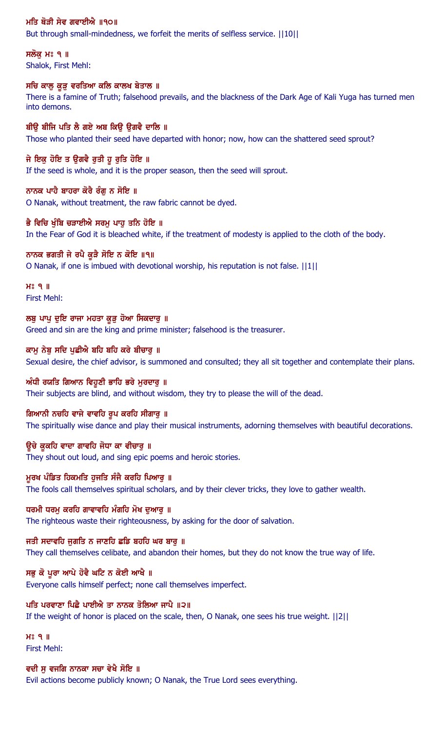## ਮਤਿ ਥੋੜੀ ਸੇਵ ਗਵਾਈਐ ॥੧੦॥

But through small-mindedness, we forfeit the merits of selfless service. ||10||

ਸਲੋਕ ਮਃ ੧ ॥ Shalok, First Mehl:

## ਸਚਿ ਕਾਲੂ ਕੁੜੂ ਵਰਤਿਆ ਕਲਿ ਕਾਲਖ ਬੇਤਾਲ ॥

There is a famine of Truth; falsehood prevails, and the blackness of the Dark Age of Kali Yuga has turned men into demons.

#### ਬੀਉ ਬੀਜਿ ਪਤਿ ਲੈ ਗਏ ਅਬ ਕਿਉ ਉਗਵੈ ਦਾਲਿ ॥

Those who planted their seed have departed with honor; now, how can the shattered seed sprout?

## ਜੇ ਇਕ ਹੋਇ ਤ ਉਗਵੈ ਰੁਤੀ ਹੁ ਰੁਤਿ ਹੋਇ ॥

If the seed is whole, and it is the proper season, then the seed will sprout.

#### ਨਾਨਕ ਪਾਹੈ ਬਾਹਰਾ ਕੋਰੈ ਰੰਗ ਨ ਸੋਇ ॥

O Nanak, without treatment, the raw fabric cannot be dyed.

#### ਭੈ ਵਿਚਿ ਖੰਬਿ ਚੜਾਈਐ ਸਰਮ ਪਾਹ ਤਨਿ ਹੋਇ ॥

In the Fear of God it is bleached white, if the treatment of modesty is applied to the cloth of the body.

#### ਨਾਨਕ ਭਗਤੀ ਜੇ ਰਪੈ ਕੁੜੈ ਸੋਇ ਨ ਕੋਇ ॥੧॥

O Nanak, if one is imbued with devotional worship, his reputation is not false. ||1||

 $H<sup>s</sup>$  q  $\parallel$ First Mehl:

ਲਬੂ ਪਾਪੂ ਦੁਇ ਰਾਜਾ ਮਹਤਾ ਕੁੜੂ ਹੋਆ ਸਿਕਦਾਰੁ ॥ Greed and sin are the king and prime minister; falsehood is the treasurer.

#### ਕਾਮ ਨੇਬ ਸਦਿ ਪਛੀਐ ਬਹਿ ਬਹਿ ਕਰੇ ਬੀਚਾਰ ॥

Sexual desire, the chief advisor, is summoned and consulted; they all sit together and contemplate their plans.

#### ਅੰਧੀ ਰਯਤਿ ਗਿਆਨ ਵਿਹੁਣੀ ਭਾਹਿ ਭਰੇ ਮੁਰਦਾਰੂ ॥

Their subjects are blind, and without wisdom, they try to please the will of the dead.

#### ਗਿਆਨੀ ਨਚਹਿ ਵਾਜੇ ਵਾਵਹਿ ਰੁਪ ਕਰਹਿ ਸੀਗਾਰੂ ॥

The spiritually wise dance and play their musical instruments, adorning themselves with beautiful decorations.

#### ਉਚੇ ਕੁਕਹਿ ਵਾਦਾ ਗਾਵਹਿ ਜੋਧਾ ਕਾ ਵੀਚਾਰ ॥

They shout out loud, and sing epic poems and heroic stories.

#### ਮੁਰਖ ਪੰਡਿਤ ਹਿਕਮਤਿ ਹੁਜਤਿ ਸੰਜੈ ਕਰਹਿ ਪਿਆਰੁ ॥

The fools call themselves spiritual scholars, and by their clever tricks, they love to gather wealth.

#### ਧਰਮੀ ਧਰਮੂ ਕਰਹਿ ਗਾਵਾਵਹਿ ਮੰਗਹਿ ਮੋਖ ਦੁਆਰੂ ॥

The righteous waste their righteousness, by asking for the door of salvation.

## ਜਤੀ ਸਦਾਵਹਿ ਜੁਗਤਿ ਨ ਜਾਣਹਿ ਛਡਿ ਬਹਹਿ ਘਰ ਬਾਰੁ ॥

They call themselves celibate, and abandon their homes, but they do not know the true way of life.

## ਸਭ ਕੋ ਪਰਾ ਆਪੇ ਹੋਵੈ ਘਟਿ ਨ ਕੋਈ ਆਖੈ ॥

Everyone calls himself perfect; none call themselves imperfect.

## ਪਤਿ ਪਰਵਾਣਾ ਪਿਛੇ ਪਾਈਐ ਤਾ ਨਾਨਕ ਤੋਲਿਆ ਜਾਪੈ ॥੨॥

If the weight of honor is placed on the scale, then, O Nanak, one sees his true weight. ||2||

 $H<sup>o</sup>$   $I<sub>II</sub>$ First Mehl:

## ਵਦੀ ਸੁ ਵਜਗਿ ਨਾਨਕਾ ਸਚਾ ਵੇਖੈ ਸੋਇ ॥

Evil actions become publicly known; O Nanak, the True Lord sees everything.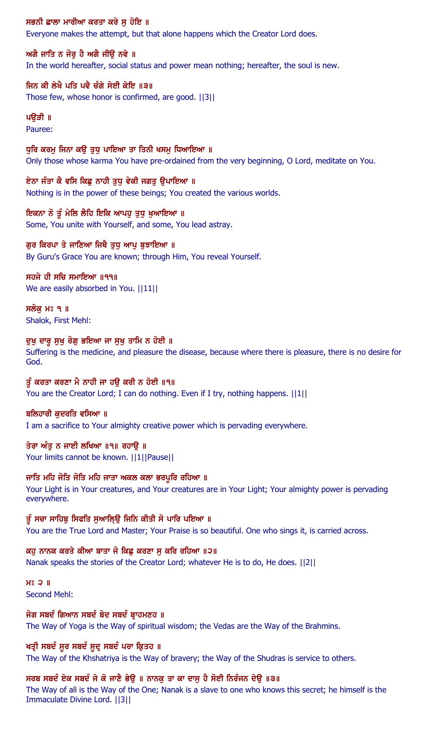ਸਭਨੀ ਛਾਲਾ ਮਾਰੀਆ ਕਰਤਾ ਕਰੇ ਸੁ ਹੋਇ ॥

Everyone makes the attempt, but that alone happens which the Creator Lord does.

## ਅਗੈ ਜਾਤਿ ਨ ਜੋਰ ਹੈ ਅਗੈ ਜੀੳ ਨਵੇ ॥ In the world hereafter, social status and power mean nothing; hereafter, the soul is new.

ਜਿਨ ਕੀ ਲੇਖੈ ਪਤਿ ਪਵੈ ਚੰਗੇ ਸੇਈ ਕੇਇ ॥੩॥ Those few, whose honor is confirmed, are good. ||3||

#### ਪੳੜੀ ॥ Pauree:

ਧੁਰਿ ਕਰਮੂ ਜਿਨਾ ਕਉ ਤੁਧੂ ਪਾਇਆ ਤਾ ਤਿਨੀ ਖਸਮੂ ਧਿਆਇਆ ॥ Only those whose karma You have pre-ordained from the very beginning, O Lord, meditate on You.

ਏਨਾ ਜੰਤਾ ਕੈ ਵਸਿ ਕਿਛੂ ਨਾਹੀ ਤੁਧੂ ਵੇਕੀ ਜਗਤੂ ਉਪਾਇਆ ॥ Nothing is in the power of these beings; You created the various worlds.

ਇਕਨਾ ਨੋ ਤੂੰ ਮੇਲਿ ਲੈਹਿ ਇਕਿ ਆਪਹੁ ਤੁਧੁ ਖੁਆਇਆ ॥ Some, You unite with Yourself, and some, You lead astray.

## ਗੁਰ ਕਿਰਪਾ ਤੇ ਜਾਣਿਆ ਜਿਥੈ ਤੁਧੂ ਆਪੂ ਬੁਝਾਇਆ ॥

By Guru's Grace You are known; through Him, You reveal Yourself.

ਸਹਜੇ ਹੀ ਸਚਿ ਸਮਾਇਆ ॥੧੧॥ We are easily absorbed in You. [111]

ਸਲੋਕ ਮਃ ੧ ॥ Shalok, First Mehl:

## ਦੁਖੁ ਦਾਰੁ ਸੁਖੁ ਰੋਗੁ ਭਇਆ ਜਾ ਸੁਖੁ ਤਾਮਿ ਨ ਹੋਈ ॥

Suffering is the medicine, and pleasure the disease, because where there is pleasure, there is no desire for God.

ਤੂੰ ਕਰਤਾ ਕਰਣਾ ਮੈ ਨਾਹੀ ਜਾ ਹੳ ਕਰੀ ਨ ਹੋਈ ॥੧॥ You are the Creator Lord; I can do nothing. Even if I try, nothing happens.  $||1||$ 

## ਬਲਿਹਾਰੀ ਕੁਦਰਤਿ ਵਸਿਆ ॥

I am a sacrifice to Your almighty creative power which is pervading everywhere.

## ਤੇਰਾ ਅੰਤ ਨ ਜਾਈ ਲਖਿਆ ॥੧॥ ਰਹਾੳ ॥

Your limits cannot be known. ||1||Pause||

## ਜਾਤਿ ਮਹਿ ਜੋਤਿ ਜੋਤਿ ਮਹਿ ਜਾਤਾ ਅਕਲ ਕਲਾ ਭਰਪੁਰਿ ਰਹਿਆ ॥

Your Light is in Your creatures, and Your creatures are in Your Light; Your almighty power is pervading everywhere.

ਤੂੰ ਸਚਾ ਸਾਹਿਬੂ ਸਿਫਤਿ ਸੁਆਲਿ੍ਉ ਜਿਨਿ ਕੀਤੀ ਸੋ ਪਾਰਿ ਪਇਆ ॥

You are the True Lord and Master; Your Praise is so beautiful. One who sings it, is carried across.

ਕਹੁ ਨਾਨਕ ਕਰਤੇ ਕੀਆ ਬਾਤਾ ਜੋ ਕਿਛੂ ਕਰਣਾ ਸੁ ਕਰਿ ਰਹਿਆ ॥੨॥

Nanak speaks the stories of the Creator Lord; whatever He is to do, He does. ||2||

 $H<sub>2</sub>$   $I<sub>1</sub>$ Second Mehl:

## ਜੋਗ ਸਬਦੰ ਗਿਆਨ ਸਬਦੰ ਬੇਦ ਸਬਦੰ ਬ੍ਰਾਹਮਣਹ ॥

The Way of Yoga is the Way of spiritual wisdom; the Vedas are the Way of the Brahmins.

## ਖਤ੍ਰੀ ਸਬਦੰ ਸੁਰ ਸਬਦੰ ਸੁਦ੍ਰ ਸਬਦੰ ਪਰਾ ਕ੍ਰਿਤਹ **॥**

The Way of the Khshatriya is the Way of bravery; the Way of the Shudras is service to others.

## ਸਰਬ ਸਬਦੰ ਏਕ ਸਬਦੰ ਜੇ ਕੋ ਜਾਣੈ ਭੇਉ ॥ ਨਾਨਕੁ ਤਾ ਕਾ ਦਾਸੁ ਹੈ ਸੋਈ ਨਿਰੰਜਨ ਦੇਉ ॥੩॥

The Way of all is the Way of the One; Nanak is a slave to one who knows this secret; he himself is the Immaculate Divine Lord. ||3||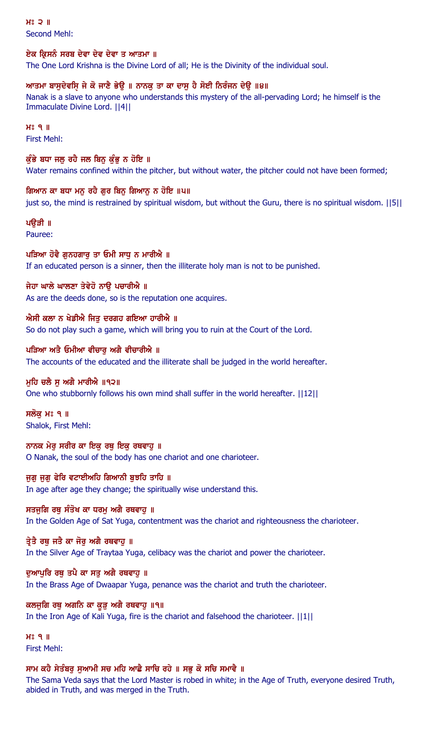$H<sub>s</sub>$  2  $\parallel$ Second Mehl:

#### ਏਕ ਕ੍ਰਿਸਨੰ ਸਰਬ ਦੇਵਾ ਦੇਵ ਦੇਵਾ ਤ ਆਤਮਾ ॥

The One Lord Krishna is the Divine Lord of all; He is the Divinity of the individual soul.

## ਆਤਮਾ ਬਾਸੁਦੇਵਸਿ਼ ਜੇ ਕੋ ਜਾਣੈ ਭੇਉ ॥ ਨਾਨਕੁ ਤਾ ਕਾ ਦਾਸੁ ਹੈ ਸੋਈ ਨਿਰੰਜਨ ਦੇਉ ॥੪॥

Nanak is a slave to anyone who understands this mystery of the all-pervading Lord; he himself is the Immaculate Divine Lord. ||4||

 $H<sup>o</sup>$  9  $II$ First Mehl:

## ਕੁੰਭੇ ਬਧਾ ਜਲ ਰਹੈ ਜਲ ਬਿਨ ਕੁੰਭੂ ਨ ਹੋਇ ॥

Water remains confined within the pitcher, but without water, the pitcher could not have been formed;

#### ਗਿਆਨ ਕਾ ਬਧਾ ਮਨੁ ਰਹੈ ਗੁਰ ਬਿਨੁ ਗਿਆਨੁ ਨ ਹੋਇ ॥੫॥

just so, the mind is restrained by spiritual wisdom, but without the Guru, there is no spiritual wisdom. ||5||

## ਪੳੜੀ ॥

Pauree:

## ਪੜਿਆ ਹੋਵੈ ਗੁਨਹਗਾਰੂ ਤਾ ਓਮੀ ਸਾਧੂ ਨ ਮਾਰੀਐ ॥

If an educated person is a sinner, then the illiterate holy man is not to be punished.

## ਜੇਹਾ ਘਾਲੇ ਘਾਲਣਾ ਤੇਵੇਹੋ ਨਾੳ ਪਚਾਰੀਐ ॥

As are the deeds done, so is the reputation one acquires.

#### ਐਸੀ ਕਲਾ ਨ ਖੇਡੀਐ ਜਿਤੂ ਦਰਗਹ ਗਇਆ ਹਾਰੀਐ ॥

So do not play such a game, which will bring you to ruin at the Court of the Lord.

#### ਪੜਿਆ ਅਤੈ ਓਮੀਆ ਵੀਚਾਰ ਅਗੈ ਵੀਚਾਰੀਐ ॥

The accounts of the educated and the illiterate shall be judged in the world hereafter.

## ਮਹਿ ਚਲੈ ਸ ਅਗੈ ਮਾਰੀਐ ॥੧੨॥

One who stubbornly follows his own mind shall suffer in the world hereafter. ||12||

ਸਲੋਕ ਮਃ ੧ ॥ Shalok, First Mehl:

ਨਾਨਕ ਮੇਰ ਸਰੀਰ ਕਾ ਇਕ ਰਥ ਇਕ ਰਥਵਾਹ ॥ O Nanak, the soul of the body has one chariot and one charioteer.

## ਜੁਗੁ ਜੁਗੁ ਫੇਰਿ ਵਟਾਈਅਹਿ ਗਿਆਨੀ ਬੁਝਹਿ ਤਾਹਿ ॥

In age after age they change; the spiritually wise understand this.

## ਸਤਜੁਗਿ ਰਥੂ ਸੰਤੋਖ ਕਾ ਧਰਮੂ ਅਗੈ ਰਥਵਾਹੂ ॥

In the Golden Age of Sat Yuga, contentment was the chariot and righteousness the charioteer.

## ਤ੍ਰੇਤੈ ਰਥ ਜਤੈ ਕਾ ਜੋਰ ਅਗੈ ਰਥਵਾਹ ॥

In the Silver Age of Traytaa Yuga, celibacy was the chariot and power the charioteer.

## ਦਆਪਰਿ ਰਥ ਤਪੈ ਕਾ ਸਤ ਅਗੈ ਰਥਵਾਹ ॥

In the Brass Age of Dwaapar Yuga, penance was the chariot and truth the charioteer.

## ਕਲਜੁਗਿ ਰਥੂ ਅਗਨਿ ਕਾ ਕੁੜ ਅਗੈ ਰਥਵਾਹੂ ॥੧॥

In the Iron Age of Kali Yuga, fire is the chariot and falsehood the charioteer. ||1||

#### $H<sup>o</sup>$   $I<sub>II</sub>$ First Mehl:

## ਸਾਮ ਕਹੈ ਸੇਤੰਬਰੂ ਸੁਆਮੀ ਸਚ ਮਹਿ ਆਛੈ ਸਾਚਿ ਰਹੇ ॥ ਸਭੂ ਕੋ ਸਚਿ ਸਮਾਵੈ ॥

The Sama Veda says that the Lord Master is robed in white; in the Age of Truth, everyone desired Truth, abided in Truth, and was merged in the Truth.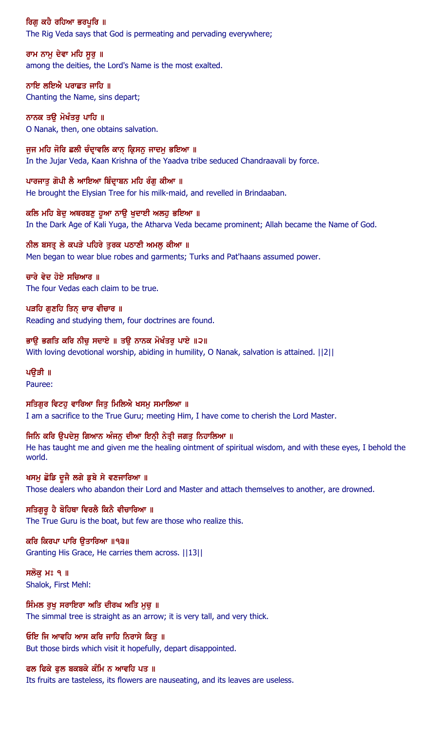ਰਿਗੁ ਕਹੈ ਰਹਿਆ ਭਰਪੁਰਿ ॥ The Rig Veda says that God is permeating and pervading everywhere;

ਰਾਮ ਨਾਮੂ ਦੇਵਾ ਮਹਿ ਸੁਰੂ ॥ among the deities, the Lord's Name is the most exalted.

ਨਾਇ ਲਇਐ ਪਰਾਛਤ ਜਾਹਿ ॥ Chanting the Name, sins depart;

ਨਾਨਕ ਤੳ ਮੋਖੰਤਰ ਪਾਹਿ ॥ O Nanak, then, one obtains salvation.

ਜੂਜ ਮਹਿ ਜੋਰਿ ਛਲੀ ਚੰਦ੍ਰਾਵਲਿ ਕਾਨ੍ ਕ੍ਰਿਸਨੂ ਜਾਦਮੂ ਭਇਆ ॥ In the Jujar Veda, Kaan Krishna of the Yaadva tribe seduced Chandraavali by force.

ਪਾਰਜਾਤੁ ਗੋਪੀ ਲੈ ਆਇਆ ਬਿੰਦ੍ਰਾਬਨ ਮਹਿ ਰੰਗੂ ਕੀਆ ॥ He brought the Elysian Tree for his milk-maid, and revelled in Brindaaban.

ਕਲਿ ਮਹਿ ਬੇਦ ਅਥਰਬਣ ਹੁਆ ਨਾੳ ਖਦਾਈ ਅਲਹ ਭਇਆ ॥ In the Dark Age of Kali Yuga, the Atharva Veda became prominent; Allah became the Name of God.

ਨੀਲ ਬਸਤ੍ਰ ਲੇ ਕਪੜੇ ਪਹਿਰੇ ਤੁਰਕ ਪਠਾਣੀ ਅਮਲੁ ਕੀਆ ॥ Men began to wear blue robes and garments; Turks and Pat'haans assumed power.

ਚਾਰੇ ਵੇਦ ਹੋਏ ਸਚਿਆਰ ॥ The four Vedas each claim to be true.

ਪੜਹਿ ਗਣਹਿ ਤਿਨ ਚਾਰ ਵੀਚਾਰ ॥ Reading and studying them, four doctrines are found.

ਭਾਉ ਭਗਤਿ ਕਰਿ ਨੀਚੁ ਸਦਾਏ ॥ ਤਉ ਨਾਨਕ ਮੋਖੰਤਰੁ ਪਾਏ ॥੨॥ With loving devotional worship, abiding in humility, O Nanak, salvation is attained. ||2||

ਪੳੜੀ ॥

Pauree:

ਸਤਿਗਰ ਵਿਟਹ ਵਾਰਿਆ ਜਿਤ ਮਿਲਿਐ ਖਸਮ ਸਮਾਲਿਆ ॥ I am a sacrifice to the True Guru; meeting Him, I have come to cherish the Lord Master.

ਜਿਨਿ ਕਰਿ ਉਪਦੇਸੁ ਗਿਆਨ ਅੰਜਨੁ ਦੀਆ ਇਨ੍ਹੀ ਨੇਤ੍ਰੀ ਜਗਤੁ ਨਿਹਾਲਿਆ ॥ He has taught me and given me the healing ointment of spiritual wisdom, and with these eyes, I behold the world.

ਖਸਮੂ ਛੋਡਿ ਦੂਜੈ ਲਗੇ ਡੁਬੇ ਸੇ ਵਣਜਾਰਿਆ ॥ Those dealers who abandon their Lord and Master and attach themselves to another, are drowned.

ਸਤਿਗੁਰੁ ਹੈ ਬੋਹਿਥਾ ਵਿਰਲੈ ਕਿਨੈ ਵੀਚਾਰਿਆ ॥ The True Guru is the boat, but few are those who realize this.

ਕਰਿ ਕਿਰਪਾ ਪਾਰਿ ੳਤਾਰਿਆ ॥੧੩॥ Granting His Grace, He carries them across. ||13||

ਸਲੋਕ ਮਃ ੧ ॥ Shalok, First Mehl:

ਸਿੰਮਲ ਰੁਖੁ ਸਰਾਇਰਾ ਅਤਿ ਦੀਰਘ ਅਤਿ ਮੁਚੁ ॥ The simmal tree is straight as an arrow; it is very tall, and very thick.

ਓਇ ਜਿ ਆਵਹਿ ਆਸ ਕਰਿ ਜਾਹਿ ਨਿਰਾਸੇ ਕਿਤ ॥ But those birds which visit it hopefully, depart disappointed.

ਫਲ ਫਿਕੇ ਫੁਲ ਬਕਬਕੇ ਕੰਮਿ ਨ ਆਵਹਿ ਪਤ ॥ Its fruits are tasteless, its flowers are nauseating, and its leaves are useless.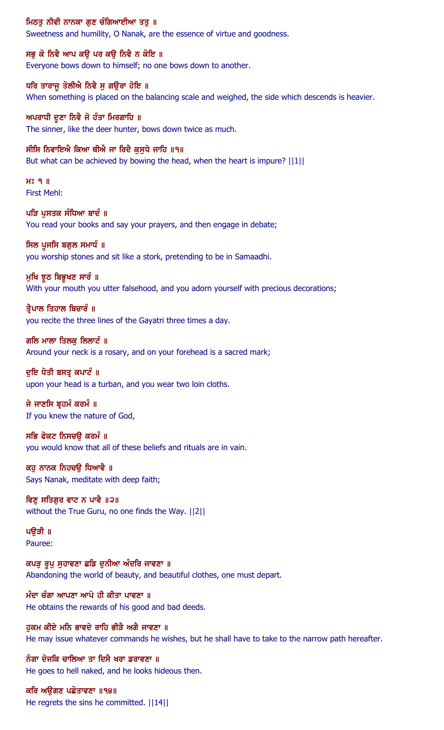## ਮਿਠਤੂ ਨੀਵੀ ਨਾਨਕਾ ਗੁਣ ਚੰਗਿਆਈਆ ਤਤੂ ॥

Sweetness and humility, O Nanak, are the essence of virtue and goodness.

#### ਸਭੁ ਕੋ ਨਿਵੈ ਆਪ ਕਉ ਪਰ ਕਉ ਨਿਵੈ ਨ ਕੋਇ ॥

Everyone bows down to himself; no one bows down to another.

#### ਧਰਿ ਤਾਰਾਜੁ ਤੋਲੀਐ ਨਿਵੈ ਸੁ ਗਉਰਾ ਹੋਇ ॥

When something is placed on the balancing scale and weighed, the side which descends is heavier.

#### ਅਪਰਾਧੀ ਦੁਣਾ ਨਿਵੈ ਜੋ ਹੰਤਾ ਮਿਰਗਾਹਿ ॥

The sinner, like the deer hunter, bows down twice as much.

#### ਸੀਸਿ ਨਿਵਾਇਐ ਕਿਆ ਥੀਐ ਜਾ ਰਿਦੈ ਕੁਸੁਧੇ ਜਾਹਿ ॥੧॥

But what can be achieved by bowing the head, when the heart is impure?  $||1||$ 

 $H<sup>o</sup>$   $I<sub>II</sub>$ First Mehl:

## ਪੜਿ ਪਸਤਕ ਸੰਧਿਆ ਬਾਦੰ ॥ You read your books and say your prayers, and then engage in debate;

#### ਸਿਲ ਪੁਜਸਿ ਬਗੁਲ ਸਮਾਧੰ ॥

you worship stones and sit like a stork, pretending to be in Samaadhi.

#### ਮੁਖਿ ਝੂਠ ਬਿਭੂਖਣ ਸਾਰੰ ॥

With your mouth you utter falsehood, and you adorn yourself with precious decorations;

## ਤ੍ਰੈਪਾਲ ਤਿਹਾਲ ਬਿਚਾਰੰ ॥ you recite the three lines of the Gayatri three times a day.

ਗਲਿ ਮਾਲਾ ਤਿਲਕ ਲਿਲਾਟੰ ॥ Around your neck is a rosary, and on your forehead is a sacred mark;

#### ਦਇ ਧੋਤੀ ਬਸਤ ਕਪਾਟੰ ॥

upon your head is a turban, and you wear two loin cloths.

## ਜੇ ਜਾਣਸਿ ਬਹਮੰ ਕਰਮੰ ॥ If you knew the nature of God,

## ਸਭਿ ਫੋਕਟ ਨਿਸਚਉ ਕਰਮੰ ॥ you would know that all of these beliefs and rituals are in vain.

ਕਹੁ ਨਾਨਕ ਨਿਹਚਉ ਧਿਆਵੈ ॥ Says Nanak, meditate with deep faith;

ਵਿਣੁ ਸਤਿਗੁਰ ਵਾਟ ਨ ਪਾਵੈ ॥੨॥ without the True Guru, no one finds the Way. ||2||

#### ਪੳੜੀ ॥ Pauree:

ਕਪੜ ਰੂਪ ਸਹਾਵਣਾ ਛਡਿ ਦਨੀਆ ਅੰਦਰਿ ਜਾਵਣਾ ॥ Abandoning the world of beauty, and beautiful clothes, one must depart.

ਮੰਦਾ ਚੰਗਾ ਆਪਣਾ ਆਪੇ ਹੀ ਕੀਤਾ ਪਾਵਣਾ ॥ He obtains the rewards of his good and bad deeds.

ਹਕਮ ਕੀਏ ਮਨਿ ਭਾਵਦੇ ਰਾਹਿ ਭੀੜੈ ਅਗੈ ਜਾਵਣਾ ॥ He may issue whatever commands he wishes, but he shall have to take to the narrow path hereafter.

ਨੰਗਾ ਦੋਜਕਿ ਚਾਲਿਆ ਤਾ ਦਿਸੈ ਖਰਾ ਡਰਾਵਣਾ ॥ He goes to hell naked, and he looks hideous then.

#### ਕਰਿ ਅਉਗਣ ਪਛੋਤਾਵਣਾ ॥੧੪॥ He regrets the sins he committed. ||14||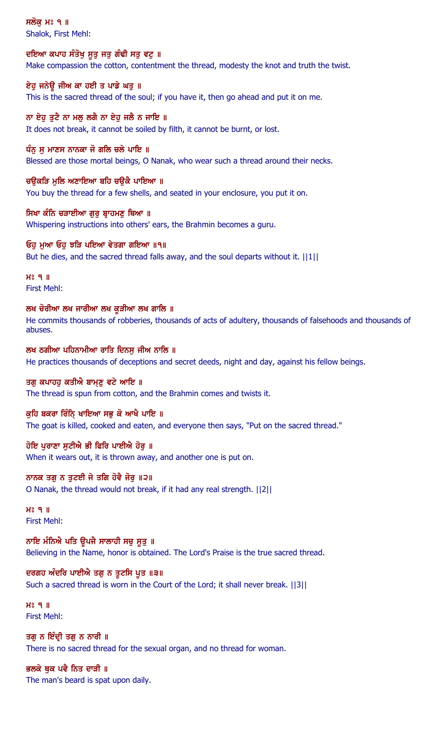ਸਲੋਕ ਮਃ ੧ ॥ Shalok, First Mehl:

ਦਇਆ ਕਪਾਹ ਸੰਤੋਖੁ ਸੁਤੁ ਜਤੁ ਗੰਢੀ ਸਤੁ ਵਟੁ ॥ Make compassion the cotton, contentment the thread, modesty the knot and truth the twist.

ਏਹੂ ਜਨੇਉ ਜੀਅ ਕਾ ਹਈ ਤ ਪਾਡੇ ਘਤੂ ॥ This is the sacred thread of the soul; if you have it, then go ahead and put it on me.

ਨਾ ਏਹ ਤਟੈ ਨਾ ਮਲ ਲਗੈ ਨਾ ਏਹ ਜਲੈ ਨ ਜਾਇ ॥ It does not break, it cannot be soiled by filth, it cannot be burnt, or lost.

ਧੰਨੂ ਸੂ ਮਾਣਸ ਨਾਨਕਾ ਜੋ ਗਲਿ ਚਲੇ ਪਾਇ ॥ Blessed are those mortal beings, O Nanak, who wear such a thread around their necks.

ਚਉਕੜਿ ਮੁਲਿ ਅਣਾਇਆ ਬਹਿ ਚਉਕੈ ਪਾਇਆ ॥ You buy the thread for a few shells, and seated in your enclosure, you put it on.

ਸਿਖਾ ਕੰਨਿ ਚੜਾਈਆ ਗਰ ਬਾਹਮਣ ਥਿਆ ॥ Whispering instructions into others' ears, the Brahmin becomes a guru.

ਓਹੁ ਮੁਆ ਓਹੁ ਝੜਿ ਪਇਆ ਵੇਤਗਾ ਗਇਆ ॥੧॥ But he dies, and the sacred thread falls away, and the soul departs without it.  $||1||$ 

 $H<sup>s</sup>$   $q$  || First Mehl:

ਲਖ ਚੋਰੀਆ ਲਖ ਜਾਰੀਆ ਲਖ ਕੜੀਆ ਲਖ ਗਾਲਿ ॥

He commits thousands of robberies, thousands of acts of adultery, thousands of falsehoods and thousands of abuses.

ਲਖ ਠਗੀਆ ਪਹਿਨਾਮੀਆ ਰਾਤਿ ਦਿਨਸ ਜੀਅ ਨਾਲਿ ॥ He practices thousands of deceptions and secret deeds, night and day, against his fellow beings.

ਤਗੁ ਕਪਾਹਹੁ ਕਤੀਐ ਬਾਮ੍ਣੂ ਵਟੇ ਆਇ ॥ The thread is spun from cotton, and the Brahmin comes and twists it.

ਕੁਹਿ ਬਕਰਾ ਰਿੰਨਿ੍ ਖਾਇਆ ਸਭੁ ਕੋ ਆਖੈ ਪਾਇ ॥ The goat is killed, cooked and eaten, and everyone then says, "Put on the sacred thread."

ਹੋਇ ਪਰਾਣਾ ਸਟੀਐ ਭੀ ਫਿਰਿ ਪਾਈਐ ਹੋਰ ॥ When it wears out, it is thrown away, and another one is put on.

ਨਾਨਕ ਤਗੂ ਨ ਤੁਟਈ ਜੇ ਤਗਿ ਹੋਵੈ ਜੋਰੂ ॥੨॥ O Nanak, the thread would not break, if it had any real strength. ||2||

 $H<sup>3</sup>$  q  $\Pi$ First Mehl:

ਨਾਇ ਮੰਨਿਐ ਪਤਿ ਉਪਜੈ ਸਾਲਾਹੀ ਸਚੁ ਸੁਤੁ ॥ Believing in the Name, honor is obtained. The Lord's Praise is the true sacred thread.

ਦਰਗਹ ਅੰਦਰਿ ਪਾਈਐ ਤਗੁ ਨ ਤੁਟਸਿ ਪੁਤ ॥੩॥ Such a sacred thread is worn in the Court of the Lord; it shall never break. ||3||

 $H<sup>o</sup>$   $9$   $\parallel$ First Mehl:

ਤਗੁ ਨ ਇੰਦ੍ਰੀ ਤਗੁ ਨ ਨਾਰੀ ॥ There is no sacred thread for the sexual organ, and no thread for woman.

ਭਲਕੇ ਥੁਕ ਪਵੈ ਨਿਤ ਦਾੜੀ ॥ The man's beard is spat upon daily.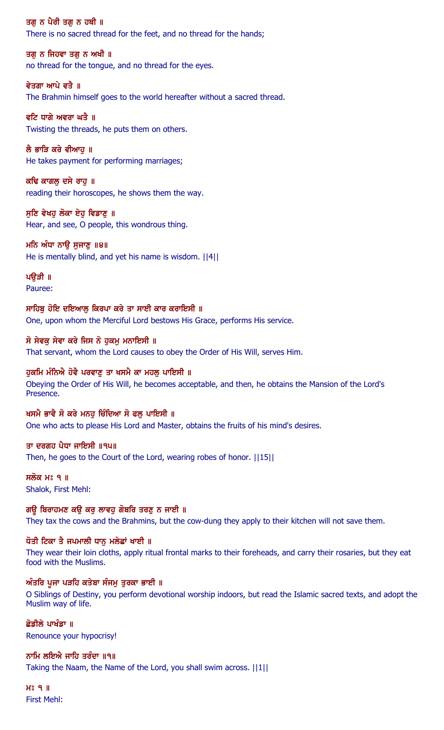ਤਗ ਨ ਪੈਰੀ ਤਗ ਨ ਹਥੀ ॥ There is no sacred thread for the feet, and no thread for the hands;

ਤਗ ਨ ਜਿਹਵਾ ਤਗ ਨ ਅਖੀ ॥ no thread for the tongue, and no thread for the eyes.

ਵੇਤਗਾ ਆਪੇ ਵਤੈ ॥ The Brahmin himself goes to the world hereafter without a sacred thread.

ਵਟਿ ਧਾਗੇ ਅਵਰਾ ਘਤੈ ॥ Twisting the threads, he puts them on others.

ਲੈ ਭਾੜਿ ਕਰੇ ਵੀਆਹ ॥ He takes payment for performing marriages;

ਕਢਿ ਕਾਗਲੂ ਦਸੇ ਰਾਹੁ ॥ reading their horoscopes, he shows them the way.

ਸਣਿ ਵੇਖਹ ਲੋਕਾ ਏਹ ਵਿਡਾਣ ॥ Hear, and see, O people, this wondrous thing.

ਮਨਿ ਅੰਧਾ ਨਾਉ ਸੁਜਾਣੁ ॥੪॥ He is mentally blind, and yet his name is wisdom. ||4||

ਪੳੜੀ ॥ Pauree:

ਸਾਹਿਬ ਹੋਇ ਦਇਆਲ ਕਿਰਪਾ ਕਰੇ ਤਾ ਸਾਈ ਕਾਰ ਕਰਾਇਸੀ ॥ One, upon whom the Merciful Lord bestows His Grace, performs His service.

# ਸੋ ਸੇਵਕੁ ਸੇਵਾ ਕਰੇ ਜਿਸ ਨੋ ਹੁਕਮੁ ਮਨਾਇਸੀ ॥

That servant, whom the Lord causes to obey the Order of His Will, serves Him.

ਹਕਮਿ ਮੰਨਿਐ ਹੋਵੈ ਪਰਵਾਣ ਤਾ ਖਸਮੈ ਕਾ ਮਹਲ ਪਾਇਸੀ ॥ Obeying the Order of His Will, he becomes acceptable, and then, he obtains the Mansion of the Lord's Presence.

ਖਸਮੈ ਭਾਵੈ ਸੋ ਕਰੇ ਮਨਹੂ ਚਿੰਦਿਆ ਸੋ ਫਲੂ ਪਾਇਸੀ ॥ One who acts to please His Lord and Master, obtains the fruits of his mind's desires.

## ਤਾ ਦਰਗਹ ਪੈਧਾ ਜਾਇਸੀ ॥੧੫॥

Then, he goes to the Court of the Lord, wearing robes of honor. ||15||

ਸਲੋਕ ਮਃ ੧ ॥ Shalok, First Mehl:

## ਗਉ ਬਿਰਾਹਮਣ ਕਉ ਕਰੁ ਲਾਵਹੁ ਗੋਬਰਿ ਤਰਣੁ ਨ ਜਾਈ ॥

They tax the cows and the Brahmins, but the cow-dung they apply to their kitchen will not save them.

## ਧੋਤੀ ਟਿਕਾ ਤੈ ਜਪਮਾਲੀ ਧਾਨੂ ਮਲੇਛਾਂ ਖਾਈ ॥

They wear their loin cloths, apply ritual frontal marks to their foreheads, and carry their rosaries, but they eat food with the Muslims.

## ਅੰਤਰਿ ਪੂਜਾ ਪੜਹਿ ਕਤੇਬਾ ਸੰਜਮੂ ਤੁਰਕਾ ਭਾਈ ॥

O Siblings of Destiny, you perform devotional worship indoors, but read the Islamic sacred texts, and adopt the Muslim way of life.

ਛੋਡੀਲੇ ਪਾਖੰਡਾ ॥

Renounce your hypocrisy!

ਨਾਮਿ ਲਇਐ ਜਾਹਿ ਤਰੰਦਾ ॥੧॥

Taking the Naam, the Name of the Lord, you shall swim across. ||1||

 $H<sup>o</sup>$   $I<sub>II</sub>$ First Mehl: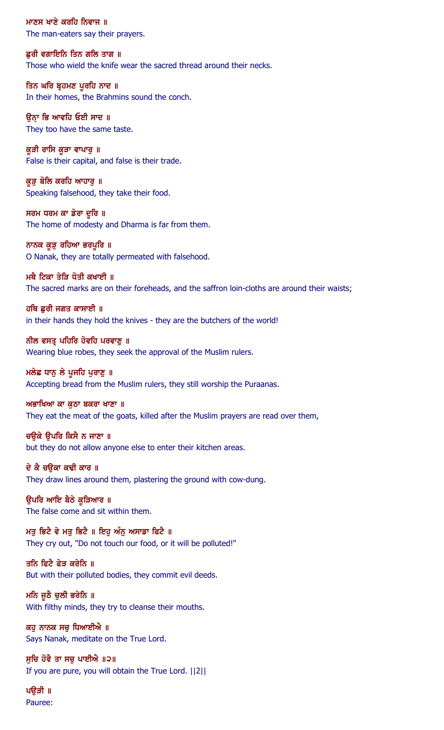ਮਾਣਸ ਖਾਣੇ ਕਰਹਿ ਨਿਵਾਜ ॥ The man-eaters say their prayers.

ਛਰੀ ਵਗਾਇਨਿ ਤਿਨ ਗਲਿ ਤਾਗ ॥ Those who wield the knife wear the sacred thread around their necks.

ਤਿਨ ਘਰਿ ਬ੍ਰਹਮਣ ਪੁਰਹਿ ਨਾਦ ॥ In their homes, the Brahmins sound the conch.

ਉਨ੍ਹਾ ਭਿ ਆਵਹਿ ਓਈ ਸਾਦ ॥ They too have the same taste.

ਕੂੜੀ ਰਾਸਿ ਕੂੜਾ ਵਾਪਾਰੁ ॥ False is their capital, and false is their trade.

ਕੁੜ ਬੋਲਿ ਕਰਹਿ ਆਹਾਰੁ ॥ Speaking falsehood, they take their food.

ਸਰਮ ਧਰਮ ਕਾ ਡੇਰਾ ਦੁਰਿ ॥ The home of modesty and Dharma is far from them.

ਨਾਨਕ ਕੁੜੂ ਰਹਿਆ ਭਰਪੂਰਿ ॥ O Nanak, they are totally permeated with falsehood.

ਮਥੈ ਟਿਕਾ ਤੇੜਿ ਧੋਤੀ ਕਖਾਈ **॥** The sacred marks are on their foreheads, and the saffron loin-cloths are around their waists;

ਹਥਿ ਛਰੀ ਜਗਤ ਕਾਸਾਈ ॥ in their hands they hold the knives - they are the butchers of the world!

ਨੀਲ ਵਸਤ੍ਰ ਪਹਿਰਿ ਹੋਵਹਿ ਪਰਵਾਣੂ ॥ Wearing blue robes, they seek the approval of the Muslim rulers.

ਮਲੇਛ ਧਾਨੂ ਲੇ ਪੁਜਹਿ ਪੁਰਾਣੂ ॥ Accepting bread from the Muslim rulers, they still worship the Puraanas.

ਅਭਾਖਿਆ ਕਾ ਕਠਾ ਬਕਰਾ ਖਾਣਾ ॥

They eat the meat of the goats, killed after the Muslim prayers are read over them,

ਚਉਕੇ ਉਪਰਿ ਕਿਸੈ ਨ ਜਾਣਾ ॥ but they do not allow anyone else to enter their kitchen areas.

ਦੇ ਕੈ ਚੳਕਾ ਕਢੀ ਕਾਰ ॥ They draw lines around them, plastering the ground with cow-dung.

ਉਪਰਿ ਆਇ ਬੈਠੇ ਕੁੜਿਆਰ ॥ The false come and sit within them.

ਮਤੂ ਭਿਟੈ ਵੇ ਮਤੂ ਭਿਟੈ ॥ ਇਹੁ ਅੰਨੂ ਅਸਾਡਾ ਫਿਟੈ ॥ They cry out, "Do not touch our food, or it will be polluted!"

ਤਨਿ ਫਿਟੈ ਫੇੜ ਕਰੇਨਿ ॥ But with their polluted bodies, they commit evil deeds.

ਮਨਿ ਜੁਠੈ ਚੁਲੀ ਭਰੇਨਿ ॥ With filthy minds, they try to cleanse their mouths.

ਕਹੁ ਨਾਨਕ ਸਚੁ ਧਿਆਈਐ ॥ Says Nanak, meditate on the True Lord.

ਸਚਿ ਹੋਵੈ ਤਾ ਸਚ ਪਾਈਐ ॥੨॥ If you are pure, you will obtain the True Lord. ||2||

ਪਉੜੀ ॥ Pauree: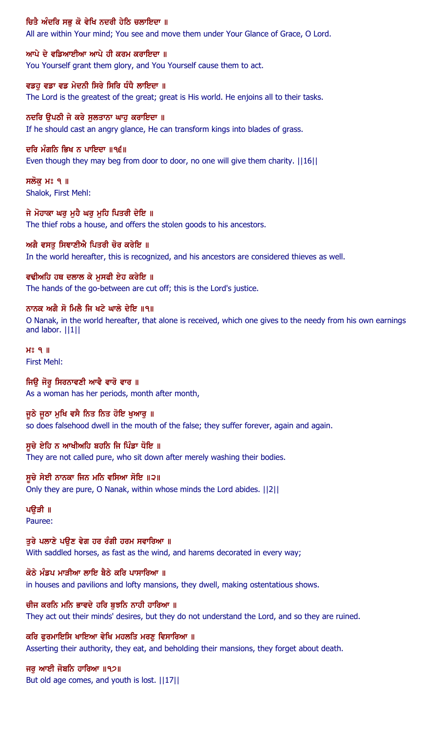## ਚਿਤੈ ਅੰਦਰਿ ਸਭੁ ਕੋ ਵੇਖਿ ਨਦਰੀ ਹੇਠਿ ਚਲਾਇਦਾ ॥

All are within Your mind; You see and move them under Your Glance of Grace, O Lord.

ਆਪੇ ਦੇ ਵਡਿਆਈਆ ਆਪੇ ਹੀ ਕਰਮ ਕਰਾਇਦਾ ॥ You Yourself grant them glory, and You Yourself cause them to act.

ਵਡਹੂ ਵਡਾ ਵਡ ਮੇਦਨੀ ਸਿਰੇ ਸਿਰਿ ਧੰਧੈ ਲਾਇਦਾ ॥ The Lord is the greatest of the great; great is His world. He enjoins all to their tasks.

ਨਦਰਿ ਉਪਠੀ ਜੇ ਕਰੇ ਸੁਲਤਾਨਾ ਘਾਹੁ ਕਰਾਇਦਾ ॥ If he should cast an angry glance, He can transform kings into blades of grass.

#### ਦਰਿ ਮੰਗਨਿ ਭਿਖ ਨ ਪਾਇਦਾ ॥੧੬॥

Even though they may beg from door to door, no one will give them charity. ||16||

ਸਲੋਕ ਮਃ ੧ ॥ Shalok, First Mehl:

ਜੇ ਮੋਹਾਕਾ ਘਰ ਮਹੈ ਘਰ ਮਹਿ ਪਿਤਰੀ ਦੇਇ ॥ The thief robs a house, and offers the stolen goods to his ancestors.

ਅਗੈ ਵਸਤੂ ਸਿਞਾਣੀਐ ਪਿਤਰੀ ਚੋਰ ਕਰੇਇ ॥ In the world hereafter, this is recognized, and his ancestors are considered thieves as well.

ਵਢੀਅਹਿ ਹਥ ਦਲਾਲ ਕੇ ਮੁਸਫੀ ਏਹ ਕਰੇਇ ॥ The hands of the go-between are cut off; this is the Lord's justice.

ਨਾਨਕ ਅਗੈ ਸੋ ਮਿਲੈ ਜਿ ਖਟੇ ਘਾਲੇ ਦੇਇ ॥੧॥ O Nanak, in the world hereafter, that alone is received, which one gives to the needy from his own earnings and labor. ||1||

 $H<sup>o</sup>$   $I<sub>II</sub>$ First Mehl:

ਜਿਉ ਜੋਰੁ ਸਿਰਨਾਵਣੀ ਆਵੈ ਵਾਰੋ ਵਾਰ ॥ As a woman has her periods, month after month,

ਜੁਠੇ ਜੁਠਾ ਮੁਖਿ ਵਸੈ ਨਿਤ ਨਿਤ ਹੋਇ ਖੁਆਰੂ ॥ so does falsehood dwell in the mouth of the false; they suffer forever, again and again.

ਸਚੇ ਏਹਿ ਨ ਆਖੀਅਹਿ ਬਹਨਿ ਜਿ ਪਿੰਡਾ ਧੋਇ ॥ They are not called pure, who sit down after merely washing their bodies.

ਸੁਚੇ ਸੇਈ ਨਾਨਕਾ ਜਿਨ ਮਨਿ ਵਸਿਆ ਸੋਇ ॥੨॥ Only they are pure, O Nanak, within whose minds the Lord abides. ||2||

ਪਉੜੀ ॥ Pauree:

ਤੁਰੇ ਪਲਾਣੇ ਪਉਣ ਵੇਗ ਹਰ ਰੰਗੀ ਹਰਮ ਸਵਾਰਿਆ ॥ With saddled horses, as fast as the wind, and harems decorated in every way;

ਕੋਠੇ ਮੰਡਪ ਮਾੜੀਆ ਲਾਇ ਬੈਠੇ ਕਰਿ ਪਾਸਾਰਿਆ ॥ in houses and pavilions and lofty mansions, they dwell, making ostentatious shows.

ਚੀਜ ਕਰਨਿ ਮਨਿ ਭਾਵਦੇ ਹਰਿ ਬੁਝਨਿ ਨਾਹੀ ਹਾਰਿਆ ॥ They act out their minds' desires, but they do not understand the Lord, and so they are ruined.

ਕਰਿ ਫਰਮਾਇਸਿ ਖਾਇਆ ਵੇਖਿ ਮਹਲਤਿ ਮਰਣ ਵਿਸਾਰਿਆ ॥ Asserting their authority, they eat, and beholding their mansions, they forget about death.

ਜਰੂ ਆਈ ਜੋਬਨਿ ਹਾਰਿਆ ॥੧੭॥ But old age comes, and youth is lost. ||17||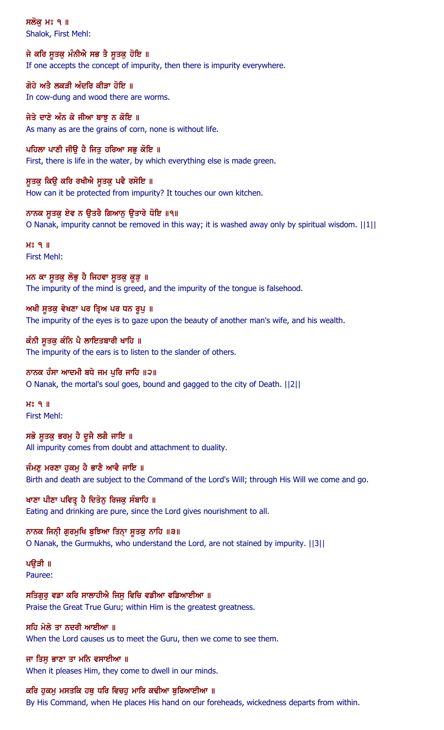ਸਲੋਕ ਮਃ ੧ ॥ Shalok, First Mehl:

ਜੇ ਕਰਿ ਸੁਤਕੁ ਮੰਨੀਐ ਸਭ ਤੈ ਸੁਤਕੁ ਹੋਇ ॥ If one accepts the concept of impurity, then there is impurity everywhere.

ਗੋਹੇ ਅਤੈ ਲਕੜੀ ਅੰਦਰਿ ਕੀੜਾ ਹੋਇ ॥ In cow-dung and wood there are worms.

ਜੇਤੇ ਦਾਣੇ ਅੰਨ ਕੇ ਜੀਆ ਬਾਝੂ ਨ ਕੋਇ ॥ As many as are the grains of corn, none is without life.

ਪਹਿਲਾ ਪਾਣੀ ਜੀਉ ਹੈ ਜਿਤੂ ਹਰਿਆ ਸਭੂ ਕੋਇ ॥ First, there is life in the water, by which everything else is made green.

ਸੁਤਕ ਕਿਉ ਕਰਿ ਰਖੀਐ ਸੂਤਕ ਪਵੈ ਰਸੋਇ ॥ How can it be protected from impurity? It touches our own kitchen.

ਨਾਨਕ ਸੁਤਕੁ ਏਵ ਨ ਉਤਰੈ ਗਿਆਨੂ ਉਤਾਰੇ ਧੋਇ ॥੧॥ O Nanak, impurity cannot be removed in this way; it is washed away only by spiritual wisdom. ||1||

 $H<sup>o</sup>$   $I<sub>II</sub>$ First Mehl:

ਮਨ ਕਾ ਸੂਤਕ ਲੋਭੂ ਹੈ ਜਿਹਵਾ ਸੂਤਕ ਕੁੜ੍ਹ ॥ The impurity of the mind is greed, and the impurity of the tongue is falsehood.

ਅਖੀ ਸਤਕ ਵੇਖਣਾ ਪਰ ਤਿਅ ਪਰ ਧਨ ਰੂਪ ॥ The impurity of the eyes is to gaze upon the beauty of another man's wife, and his wealth.

ਕੰਨੀ ਸੁਤਕੁ ਕੰਨਿ ਪੈ ਲਾਇਤਬਾਰੀ ਖਾਹਿ ॥ The impurity of the ears is to listen to the slander of others.

## ਨਾਨਕ ਹੰਸਾ ਆਦਮੀ ਬਧੇ ਜਮ ਪੁਰਿ ਜਾਹਿ ॥੨॥ O Nanak, the mortal's soul goes, bound and gagged to the city of Death. ||2||

 $H<sup>o</sup>$   $I<sub>II</sub>$ First Mehl:

ਸਭੋ ਸੁਤਕੁ ਭਰਮੂ ਹੈ ਦੂਜੈ ਲਗੈ ਜਾਇ ॥ All impurity comes from doubt and attachment to duality.

ਜੰਮਣੂ ਮਰਣਾ ਹੁਕਮੂ ਹੈ ਭਾਣੈ ਆਵੈ ਜਾਇ ॥ Birth and death are subject to the Command of the Lord's Will; through His Will we come and go.

ਖਾਣਾ ਪੀਣਾ ਪਵਿਤ੍ਰ ਹੈ ਦਿਤੋਨੂ ਰਿਜਕੂ ਸੰਬਾਹਿ ॥ Eating and drinking are pure, since the Lord gives nourishment to all.

ਨਾਨਕ ਜਿਨੀ ਗੁਰਮੁਖਿ ਬੁਝਿਆ ਤਿਨਾ ਸੂਤਕ ਨਾਹਿ ॥੩॥ O Nanak, the Gurmukhs, who understand the Lord, are not stained by impurity. ||3||

ਪੳੜੀ ॥ Pauree:

ਸਤਿਗੁਰੂ ਵਡਾ ਕਰਿ ਸਾਲਾਹੀਐ ਜਿਸੂ ਵਿਚਿ ਵਡੀਆ ਵਡਿਆਈਆ ॥ Praise the Great True Guru; within Him is the greatest greatness.

## ਸਹਿ ਮੇਲੇ ਤਾ ਨਦਰੀ ਆਈਆ ॥

When the Lord causes us to meet the Guru, then we come to see them.

## ਜਾ ਤਿਸ ਭਾਣਾ ਤਾ ਮਨਿ ਵਸਾਈਆ ॥

When it pleases Him, they come to dwell in our minds.

ਕਰਿ ਹੁਕਮੁ ਮਸਤਕਿ ਹਥੁ ਧਰਿ ਵਿਚਹੁ ਮਾਰਿ ਕਢੀਆ ਬੁਰਿਆਈਆ ॥

By His Command, when He places His hand on our foreheads, wickedness departs from within.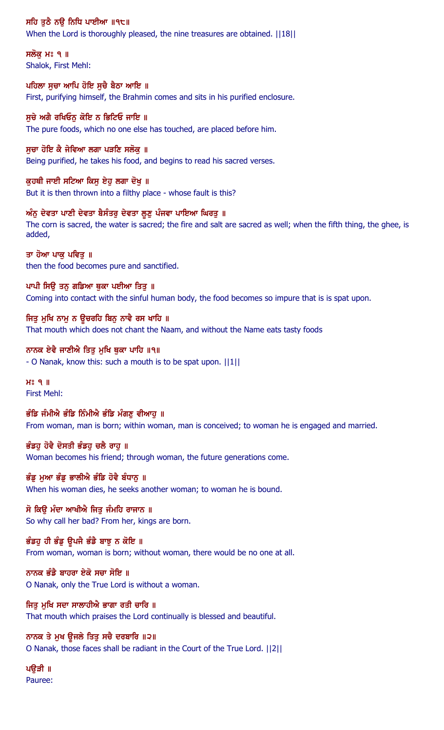ਸਹਿ ਤੁਠੈ ਨਉ ਨਿਧਿ ਪਾਈਆ ॥੧੮॥

When the Lord is thoroughly pleased, the nine treasures are obtained.  $||18||$ 

ਸਲੋਕ ਮਃ ੧ ॥ Shalok, First Mehl:

ਪਹਿਲਾ ਸੂਚਾ ਆਪਿ ਹੋਇ ਸੂਚੈ ਬੈਠਾ ਆਇ ॥ First, purifying himself, the Brahmin comes and sits in his purified enclosure.

ਸਚੇ ਅਗੈ ਰਖਿਓਨ ਕੋਇ ਨ ਭਿਟਿਓ ਜਾਇ ॥ The pure foods, which no one else has touched, are placed before him.

ਸੁਚਾ ਹੋਇ ਕੈ ਜੇਵਿਆ ਲਗਾ ਪੜਣਿ ਸਲੋਕੁ ॥ Being purified, he takes his food, and begins to read his sacred verses.

ਕੁਹਥੀ ਜਾਈ ਸਟਿਆ ਕਿਸੂ ਏਹੁ ਲਗਾ ਦੋਖੁ ॥ But it is then thrown into a filthy place - whose fault is this?

ਅੰਨੂ ਦੇਵਤਾ ਪਾਣੀ ਦੇਵਤਾ ਬੈਸੰਤਰੂ ਦੇਵਤਾ ਲੂਣੂ ਪੰਜਵਾ ਪਾਇਆ ਘਿਰਤੂ ॥ The corn is sacred, the water is sacred; the fire and salt are sacred as well; when the fifth thing, the ghee, is added,

ਤਾ ਹੋਆ ਪਾਕੂ ਪਵਿਤੂ ॥ then the food becomes pure and sanctified.

ਪਾਪੀ ਸਿਉ ਤਨੂ ਗਡਿਆ ਥੁਕਾ ਪਈਆ ਤਿਤੂ ॥ Coming into contact with the sinful human body, the food becomes so impure that is is spat upon.

ਜਿਤੂ ਮੁਖਿ ਨਾਮੂ ਨ ਉਚਰਹਿ ਬਿਨੂ ਨਾਵੈ ਰਸ ਖਾਹਿ ॥ That mouth which does not chant the Naam, and without the Name eats tasty foods

ਨਾਨਕ ਏਵੈ ਜਾਣੀਐ ਤਿਤ ਮਖਿ ਥਕਾ ਪਾਹਿ ॥੧॥ - O Nanak, know this: such a mouth is to be spat upon. ||1||

 $H<sup>s</sup>$  q  $\parallel$ First Mehl:

ਭੰਡਿ ਜੰਮੀਐ ਭੰਡਿ ਨਿੰਮੀਐ ਭੰਡਿ ਮੰਗਣੂ ਵੀਆਹੂ ॥ From woman, man is born; within woman, man is conceived; to woman he is engaged and married.

ਭੰਡਹ ਹੋਵੈ ਦੋਸਤੀ ਭੰਡਹ ਚਲੈ ਰਾਹ ॥ Woman becomes his friend; through woman, the future generations come.

ਭੰਡੂ ਮੁਆ ਭੰਡੂ ਭਾਲੀਐ ਭੰਡਿ ਹੋਵੈ ਬੰਧਾਨੂ ॥ When his woman dies, he seeks another woman; to woman he is bound.

ਸੋ ਕਿਉ ਮੰਦਾ ਆਖੀਐ ਜਿਤੂ ਜੰਮਹਿ ਰਾਜਾਨ ॥ So why call her bad? From her, kings are born.

ਭੰਡਹੂ ਹੀ ਭੰਡੂ ਉਪਜੈ ਭੰਡੈ ਬਾਝੂ ਨ ਕੋਇ ॥ From woman, woman is born; without woman, there would be no one at all.

ਨਾਨਕ ਭੰਡੈ ਬਾਹਰਾ ਏਕੋ ਸਚਾ ਸੋਇ ॥ O Nanak, only the True Lord is without a woman.

ਜਿਤੂ ਮੁਖਿ ਸਦਾ ਸਾਲਾਹੀਐ ਭਾਗਾ ਰਤੀ ਚਾਰਿ ॥ That mouth which praises the Lord continually is blessed and beautiful.

ਨਾਨਕ ਤੇ ਮੁਖ ਉਜਲੇ ਤਿਤੁ ਸਚੈ ਦਰਬਾਰਿ ॥੨॥ O Nanak, those faces shall be radiant in the Court of the True Lord. ||2||

ਪਉੜੀ ॥ Pauree: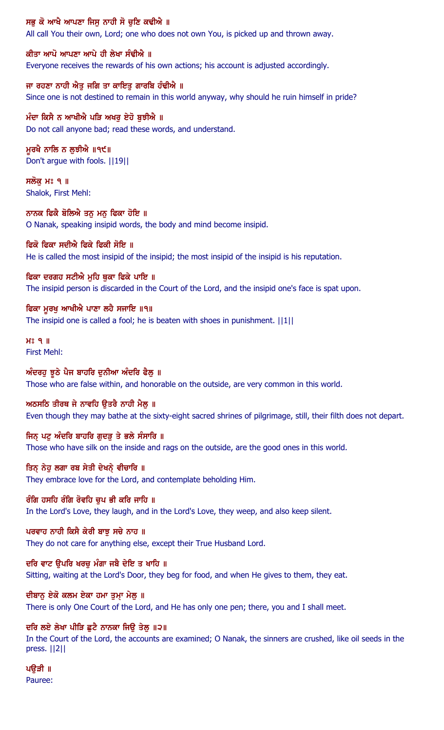## ਸਭ ਕੋ ਆਖੈ ਆਪਣਾ ਜਿਸ ਨਾਹੀ ਸੋ ਚਣਿ ਕਢੀਐ ॥

All call You their own, Lord; one who does not own You, is picked up and thrown away.

#### ਕੀਤਾ ਆਪੋ ਆਪਣਾ ਆਪੇ ਹੀ ਲੇਖਾ ਸੰਢੀਐ ॥

Everyone receives the rewards of his own actions; his account is adjusted accordingly.

#### ਜਾ ਰਹਣਾ ਨਾਹੀ ਐਤੁ ਜਗਿ ਤਾ ਕਾਇਤੁ ਗਾਰਬਿ ਹੰਢੀਐ ॥

Since one is not destined to remain in this world anyway, why should he ruin himself in pride?

#### ਮੰਦਾ ਕਿਸੈ ਨ ਆਖੀਐ ਪੜਿ ਅਖਰੂ ਏਹੋ ਬੁਝੀਐ ॥ Do not call anyone bad; read these words, and understand.

ਮੁਰਖੈ ਨਾਲਿ ਨ ਲੁਝੀਐ ॥੧੯॥ Don't argue with fools. ||19||

ਸਲੋਕ ਮਃ ੧ ॥ Shalok, First Mehl:

ਨਾਨਕ ਫਿਕੈ ਬੋਲਿਐ ਤਨ ਮਨ ਫਿਕਾ ਹੋਇ ॥ O Nanak, speaking insipid words, the body and mind become insipid.

#### ਫਿਕੋ ਫਿਕਾ ਸਦੀਐ ਫਿਕੇ ਫਿਕੀ ਸੋਇ ॥

He is called the most insipid of the insipid; the most insipid of the insipid is his reputation.

## ਫਿਕਾ ਦਰਗਹ ਸਟੀਐ ਮਹਿ ਥਕਾ ਫਿਕੇ ਪਾਇ ॥

The insipid person is discarded in the Court of the Lord, and the insipid one's face is spat upon.

#### ਫਿਕਾ ਮਰਖ ਆਖੀਐ ਪਾਣਾ ਲਹੈ ਸਜਾਇ ॥੧॥

The insipid one is called a fool; he is beaten with shoes in punishment. ||1||

#### $H<sup>o</sup>$   $9$   $\parallel$ First Mehl:

#### ਅੰਦਰਹੂ ਝੂਠੇ ਪੈਜ ਬਾਹਰਿ ਦੁਨੀਆ ਅੰਦਰਿ ਫੈਲੂ ॥

Those who are false within, and honorable on the outside, are very common in this world.

#### ਅਠਸਠਿ ਤੀਰਥ ਜੇ ਨਾਵਹਿ ੳਤਰੈ ਨਾਹੀ ਮੈਲ ॥

Even though they may bathe at the sixty-eight sacred shrines of pilgrimage, still, their filth does not depart.

#### ਜਿਨ ਪਟੂ ਅੰਦਰਿ ਬਾਹਰਿ ਗੁਦੜ ਤੇ ਭਲੇ ਸੰਸਾਰਿ ॥

Those who have silk on the inside and rags on the outside, are the good ones in this world.

#### ਤਿਨ੍ ਨੇਹੁ ਲਗਾ ਰਬ ਸੇਤੀ ਦੇਖਨ੍ ਵੀਚਾਰਿ ॥

They embrace love for the Lord, and contemplate beholding Him.

#### ਰੰਗਿ ਹਸਹਿ ਰੰਗਿ ਰੋਵਹਿ ਚਪ ਭੀ ਕਰਿ ਜਾਹਿ ॥

In the Lord's Love, they laugh, and in the Lord's Love, they weep, and also keep silent.

#### ਪਰਵਾਹ ਨਾਹੀ ਕਿਸੈ ਕੇਰੀ ਬਾਝੂ ਸਚੇ ਨਾਹ ॥

They do not care for anything else, except their True Husband Lord.

#### ਦਰਿ ਵਾਟ ੳਪਰਿ ਖਰਚ ਮੰਗਾ ਜਬੈ ਦੇਇ ਤ ਖਾਹਿ ॥

Sitting, waiting at the Lord's Door, they beg for food, and when He gives to them, they eat.

#### ਦੀਬਾਨੂ ਏਕੋ ਕਲਮ ਏਕਾ ਹਮਾ ਤੁਮ੍ਹਾ ਮੇਲੂ ॥

There is only One Court of the Lord, and He has only one pen; there, you and I shall meet.

## ਦਰਿ ਲਏ ਲੇਖਾ ਪੀੜਿ ਛੁਟੈ ਨਾਨਕਾ ਜਿਉ ਤੇਲੂ ॥੨॥

In the Court of the Lord, the accounts are examined; O Nanak, the sinners are crushed, like oil seeds in the press. ||2||

# ਪਉੜੀ ॥

Pauree: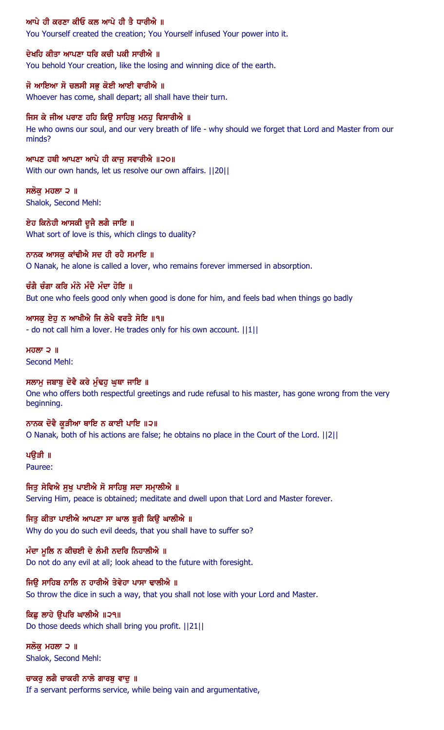#### ਆਪੇ ਹੀ ਕਰਣਾ ਕੀਓ ਕਲ ਆਪੇ ਹੀ ਤੈ ਧਾਰੀਐ ॥

You Yourself created the creation; You Yourself infused Your power into it.

#### ਦੇਖਹਿ ਕੀਤਾ ਆਪਣਾ ਧਰਿ ਕਚੀ ਪਕੀ ਸਾਰੀਐ ॥

You behold Your creation, like the losing and winning dice of the earth.

#### ਜੋ ਆਇਆ ਸੋ ਚਲਸੀ ਸਭੁ ਕੋਈ ਆਈ ਵਾਰੀਐ ॥

Whoever has come, shall depart; all shall have their turn.

## ਜਿਸ ਕੇ ਜੀਅ ਪਰਾਣ ਹਹਿ ਕਿਉ ਸਾਹਿਬੁ ਮਨਹੁ ਵਿਸਾਰੀਐ ॥

He who owns our soul, and our very breath of life - why should we forget that Lord and Master from our minds?

## ਆਪਣ ਹਥੀ ਆਪਣਾ ਆਪੇ ਹੀ ਕਾਜੂ ਸਵਾਰੀਐ ॥੨੦॥

With our own hands, let us resolve our own affairs. ||20||

#### ਸਲੋਕ ਮਹਲਾ ੨ ॥ Shalok, Second Mehl:

ਏਹ ਕਿਨੇਹੀ ਆਸਕੀ ਦੂਜੈ ਲਗੈ ਜਾਇ ॥ What sort of love is this, which clings to duality?

#### ਨਾਨਕ ਆਸਕੂ ਕਾਂਢੀਐ ਸਦ ਹੀ ਰਹੈ ਸਮਾਇ ॥

O Nanak, he alone is called a lover, who remains forever immersed in absorption.

## ਚੰਗੈ ਚੰਗਾ ਕਰਿ ਮੰਨੇ ਮੰਦੈ ਮੰਦਾ ਹੋਇ ॥

But one who feels good only when good is done for him, and feels bad when things go badly

#### ਆਸਕੂ ਏਹੂ ਨ ਆਖੀਐ ਜਿ ਲੇਖੈ ਵਰਤੈ ਸੋਇ ॥੧॥

- do not call him a lover. He trades only for his own account. ||1||

#### ਮਹਲਾ  $2$   $\parallel$ Second Mehl:

## ਸਲਾਮੁ ਜਬਾਬੂ ਦੋਵੈ ਕਰੇ ਮੁੰਢਹ ਘਥਾ ਜਾਇ ॥

One who offers both respectful greetings and rude refusal to his master, has gone wrong from the very beginning.

#### ਨਾਨਕ ਦੋਵੈ ਕੁੜੀਆ ਥਾਇ ਨ ਕਾਈ ਪਾਇ ॥੨॥

O Nanak, both of his actions are false; he obtains no place in the Court of the Lord. ||2||

## ਪੳੜੀ ॥

Pauree:

#### ਜਿਤੂ ਸੇਵਿਐ ਸੂਖੂ ਪਾਈਐ ਸੋ ਸਾਹਿਬੂ ਸਦਾ ਸਮਾਲੀਐ ॥

Serving Him, peace is obtained; meditate and dwell upon that Lord and Master forever.

#### ਜਿਤੂ ਕੀਤਾ ਪਾਈਐ ਆਪਣਾ ਸਾ ਘਾਲ ਬੁਰੀ ਕਿਉ ਘਾਲੀਐ ॥

Why do you do such evil deeds, that you shall have to suffer so?

## ਮੰਦਾ ਮੁਲਿ ਨ ਕੀਚਈ ਦੇ ਲੰਮੀ ਨਦਰਿ ਨਿਹਾਲੀਐ ॥

Do not do any evil at all; look ahead to the future with foresight.

## ਜਿੳ ਸਾਹਿਬ ਨਾਲਿ ਨ ਹਾਰੀਐ ਤੇਵੇਹਾ ਪਾਸਾ ਢਾਲੀਐ ॥

So throw the dice in such a way, that you shall not lose with your Lord and Master.

## ਕਿਛੂ ਲਾਹੇ ਉਪਰਿ ਘਾਲੀਐ ॥੨੧॥

Do those deeds which shall bring you profit. ||21||

#### ਸਲੋਕ ਮਹਲਾ ੨ ॥ Shalok, Second Mehl:

## ਚਾਕਰ ਲਗੈ ਚਾਕਰੀ ਨਾਲੇ ਗਾਰਬੁ ਵਾਦੁ ॥

If a servant performs service, while being vain and argumentative,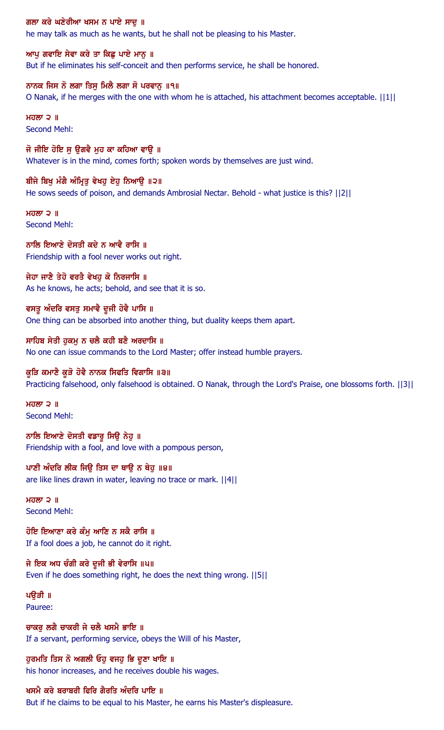ਗਲਾ ਕਰੇ ਘਣੇਰੀਆ ਖਸਮ ਨ ਪਾਏ ਸਾਦੂ ॥

he may talk as much as he wants, but he shall not be pleasing to his Master.

ਆਪ ਗਵਾਇ ਸੇਵਾ ਕਰੇ ਤਾ ਕਿਛੂ ਪਾਏ ਮਾਨੂ ॥ But if he eliminates his self-conceit and then performs service, he shall be honored.

ਨਾਨਕ ਜਿਸ ਨੋ ਲਗਾ ਤਿਸੁ ਮਿਲੈ ਲਗਾ ਸੋ ਪਰਵਾਨੂ ॥੧॥ O Nanak, if he merges with the one with whom he is attached, his attachment becomes acceptable. ||1||

ਮਹਲਾ $2$   $\parallel$ Second Mehl:

ਜੋ ਜੀਇ ਹੋਇ ਸੂ ਉਗਵੈ ਮੂਹ ਕਾ ਕਹਿਆ ਵਾਉ ॥ Whatever is in the mind, comes forth; spoken words by themselves are just wind.

ਬੀਜੇ ਬਿਖੂ ਮੰਗੈ ਅੰਮ੍ਰਿਤੂ ਵੇਖਹੂ ਏਹੂ ਨਿਆਉ ॥੨॥ He sows seeds of poison, and demands Ambrosial Nectar. Behold - what justice is this? [12] [12]

ਮਹਲਾ  $\geq$   $\parallel$ Second Mehl:

ਨਾਲਿ ਇਆਣੇ ਦੋਸਤੀ ਕਦੇ ਨ ਆਵੈ ਰਾਸਿ ॥ Friendship with a fool never works out right.

ਜੇਹਾ ਜਾਣੈ ਤੇਹੋ ਵਰਤੈ ਵੇਖਹੁ ਕੋ ਨਿਰਜਾਸਿ ॥ As he knows, he acts; behold, and see that it is so.

ਵਸਤੂ ਅੰਦਰਿ ਵਸਤੂ ਸਮਾਵੈ ਦੂਜੀ ਹੋਵੈ ਪਾਸਿ ॥ One thing can be absorbed into another thing, but duality keeps them apart.

ਸਾਹਿਬ ਸੇਤੀ ਹੁਕਮੂ ਨ ਚਲੈ ਕਹੀ ਬਣੈ ਅਰਦਾਸਿ ॥ No one can issue commands to the Lord Master; offer instead humble prayers.

ਕੁੜਿ ਕਮਾਣੈ ਕੁੜੋ ਹੋਵੈ ਨਾਨਕ ਸਿਫਤਿ ਵਿਗਾਸਿ ॥੩॥ Practicing falsehood, only falsehood is obtained. O Nanak, through the Lord's Praise, one blossoms forth. ||3||

ਮਹਲਾ  $\geq$   $\parallel$ Second Mehl:

ਨਾਲਿ ਇਆਣੇ ਦੋਸਤੀ ਵਡਾਰੂ ਸਿਊ ਨੇਹੂ ॥ Friendship with a fool, and love with a pompous person,

ਪਾਣੀ ਅੰਦਰਿ ਲੀਕ ਜਿਉ ਤਿਸ ਦਾ ਥਾਉ ਨ ਥੇਹੁ ॥੪॥ are like lines drawn in water, leaving no trace or mark. ||4||

 $H$ ਹਲਾ ੨  $\parallel$ Second Mehl:

ਹੋਇ ਇਆਣਾ ਕਰੇ ਕੰਮੂ ਆਣਿ ਨ ਸਕੈ ਰਾਸਿ ॥ If a fool does a job, he cannot do it right.

ਜੇ ਇਕ ਅਧ ਚੰਗੀ ਕਰੇ ਦੂਜੀ ਭੀ ਵੇਰਾਸਿ ॥੫॥ Even if he does something right, he does the next thing wrong. ||5||

ਪੳੜੀ ॥ Pauree:

ਚਾਕਰ ਲਗੈ ਚਾਕਰੀ ਜੇ ਚਲੈ ਖਸਮੈ ਭਾਇ ॥ If a servant, performing service, obeys the Will of his Master,

ਹੁਰਮਤਿ ਤਿਸ ਨੋ ਅਗਲੀ ਓਹੁ ਵਜਹੁ ਭਿ ਦੁਣਾ ਖਾਇ ॥ his honor increases, and he receives double his wages.

## ਖਸਮੈ ਕਰੇ ਬਰਾਬਰੀ ਫਿਰਿ ਗੈਰਤਿ ਅੰਦਰਿ ਪਾਇ ॥

But if he claims to be equal to his Master, he earns his Master's displeasure.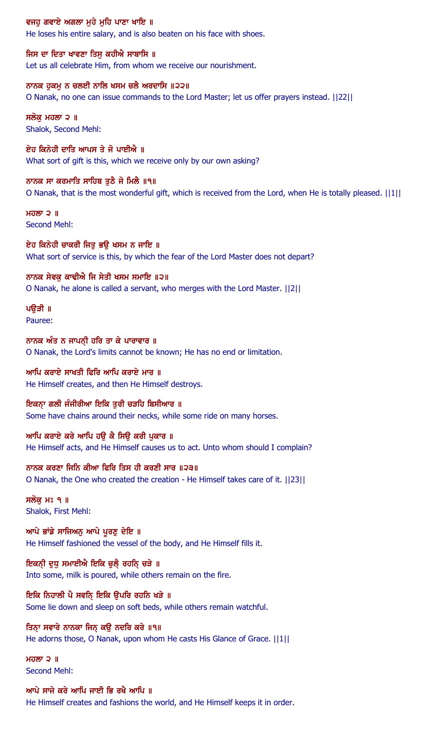### ਵਜਹੂ ਗਵਾਏ ਅਗਲਾ ਮੂਹੇ ਮੂਹਿ ਪਾਣਾ ਖਾਇ ॥

He loses his entire salary, and is also beaten on his face with shoes.

ਜਿਸ ਦਾ ਦਿਤਾ ਖਾਵਣਾ ਤਿਸ ਕਹੀਐ ਸਾਬਾਸਿ ॥ Let us all celebrate Him, from whom we receive our nourishment.

ਨਾਨਕ ਹੁਕਮੂ ਨ ਚਲਈ ਨਾਲਿ ਖਸਮ ਚਲੈ ਅਰਦਾਸਿ ॥੨੨॥ O Nanak, no one can issue commands to the Lord Master; let us offer prayers instead. ||22||

ਸਲੋਕੁ ਮਹਲਾ ੨ ॥ Shalok, Second Mehl:

ਏਹ ਕਿਨੇਹੀ ਦਾਤਿ ਆਪਸ ਤੇ ਜੋ ਪਾਈਐ ॥ What sort of gift is this, which we receive only by our own asking?

ਨਾਨਕ ਸਾ ਕਰਮਾਤਿ ਸਾਹਿਬ ਤੁਠੈ ਜੋ ਮਿਲੈ ॥੧॥ O Nanak, that is the most wonderful gift, which is received from the Lord, when He is totally pleased. ||1||

 $H<sub>0</sub>$   $\overline{M}$   $\overline{D}$   $\overline{M}$ Second Mehl:

ਏਹ ਕਿਨੇਹੀ ਚਾਕਰੀ ਜਿਤੁ ਭਉ ਖਸਮ ਨ ਜਾਇ ॥ What sort of service is this, by which the fear of the Lord Master does not depart?

ਨਾਨਕ ਸੇਵਕ ਕਾਢੀਐ ਜਿ ਸੇਤੀ ਖਸਮ ਸਮਾਇ ॥੨॥ O Nanak, he alone is called a servant, who merges with the Lord Master. ||2||

ਪੳੜੀ ॥ Pauree:

ਨਾਨਕ ਅੰਤ ਨ ਜਾਪਨੀ ਹਰਿ ਤਾ ਕੇ ਪਾਰਾਵਾਰ ॥ O Nanak, the Lord's limits cannot be known; He has no end or limitation.

ਆਪਿ ਕਰਾਏ ਸਾਖਤੀ ਫਿਰਿ ਆਪਿ ਕਰਾਏ ਮਾਰ ॥ He Himself creates, and then He Himself destroys.

ਇਕਨਾ ਗਲੀ ਜੰਜੀਰੀਆ ਇਕਿ ਤੁਰੀ ਚੜਹਿ ਬਿਸੀਆਰ ॥ Some have chains around their necks, while some ride on many horses.

ਆਪਿ ਕਰਾਏ ਕਰੇ ਆਪਿ ਹਉ ਕੈ ਸਿਉ ਕਰੀ ਪੁਕਾਰ ॥ He Himself acts, and He Himself causes us to act. Unto whom should I complain?

ਨਾਨਕ ਕਰਣਾ ਜਿਨਿ ਕੀਆ ਫਿਰਿ ਤਿਸ ਹੀ ਕਰਣੀ ਸਾਰ ॥੨੩॥ O Nanak, the One who created the creation - He Himself takes care of it. ||23||

ਸਲੋਕੁ ਮਃ ੧ ॥ Shalok, First Mehl:

ਆਪੇ ਭਾਂਡੇ ਸਾਜਿਅਨੂ ਆਪੇ ਪੂਰਣੂ ਦੇਇ ॥ He Himself fashioned the vessel of the body, and He Himself fills it.

ਇਕਨੀ ਦੁਧੁ ਸਮਾਈਐ ਇਕਿ ਚੁਲੈ਼ ਰਹਨਿ੍ ਚੜੇ ॥ Into some, milk is poured, while others remain on the fire.

ਇਕਿ ਨਿਹਾਲੀ ਪੈ ਸਵਨਿ੍ ਇਕਿ ਉਪਰਿ ਰਹਨਿ ਖੜੇ ॥ Some lie down and sleep on soft beds, while others remain watchful.

ਤਿਨਾ ਸਵਾਰੇ ਨਾਨਕਾ ਜਿਨ ਕਉ ਨਦਰਿ ਕਰੇ ॥੧॥ He adorns those, O Nanak, upon whom He casts His Glance of Grace.  $||1||$ 

ਮਹਲਾ  $\geq$   $\parallel$ Second Mehl:

## ਆਪੇ ਸਾਜੇ ਕਰੇ ਆਪਿ ਜਾਈ ਭਿ ਰਖੈ ਆਪਿ ॥

He Himself creates and fashions the world, and He Himself keeps it in order.